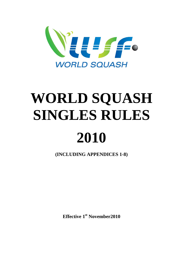

# **WORLD SQUASH SINGLES RULES 2010**

**(INCLUDING APPENDICES 1-8)** 

**Effective 1st November2010**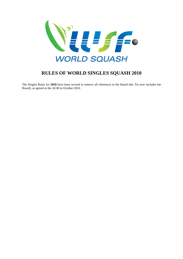

## **RULES OF WORLD SINGLES SQUASH 2010**

The Singles Rules for **2010** have been revised to remove all references to the Board (the Tin now includes the Board), as agreed at the AGM in October 2010.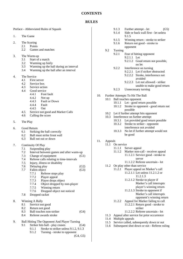#### **CONTENTS**

#### **RULES**

Preface - Abbreviated Rules of Squash

- 1. The Game
- 2. The Scoring
	- $2.1$  Points<br> $2.2$  Games
		- Games and matches
- 3. The Warm-up
	- 3.1 Start of a match
	- 3.2 Warming up fairly
	- 3.3 Warming up the ball during an interval
	- 3.4 Warming up the ball after an interval
- 4. The Service
	- 4.1 First server
	- 4.2 Service box
	- 4.3 Service action
	- 4.4 Good service
		- 4.4.1 Foot fault
		- 4.4.2 Not up
		- 4.4.3 Fault or Down
		- 4.4.4 Fault
		- 4.4.5 Out
	- 4.5 Service not good and Marker Calls
	- 4.6 Calling the score
- 5. The Play
- 6. Good Return
	- 6.1 Striking the ball correctly
	- 6.2 Ball must strike front wall
	- 6.3 Ball not out or down
- 7. Continuity Of Play
	- 7.1 Suspending play
	- 7.2 Interval between games and after warm-up
	- 7.3 Change of equipment (G1)
	- 7.4 Referee calls relating to time-intervals
	- 7.5 Injury, illness or disability
	- 7.6 Delaying play (G2) 7.7 Fallen object (G3)
		- 7.7.1 Referee stops play
		- 7.7.2 Player appeal
		- 7.7.3 Player drops object
		- 7.7.4 Object dropped by non-player<br>7.7.5 Winning return
		- Winning return
		- 7.7.6 Dropped object not noticed
	- 7.8 Dropped racket
- 8. Winning A Rally
	- 8.1 Service not good
	- 8.2 Return not good
	- 8.3 Ball touches non-striker (G4)
	- 8.4 Referee awards stroke
- 9. Ball Hitting The Opponent And Player Turning
	- 9.1 Striker hits ball play ceases (G4)
		- 9.1.1 Stroke to striker unless 9.1.2, 9.1.3
		- 9.1.2 Turning stroke to opponent
			- (G4, G5)

|     |         | 9.1.3<br>9.1.4   | 9.1.5                 | Further attempt - let<br>Side or back wall first - let unless          | (G5) |
|-----|---------|------------------|-----------------------|------------------------------------------------------------------------|------|
|     |         | 9.1.5            |                       | Winning return - stroke to striker                                     |      |
|     |         | 9.1.6            |                       | Return not good - stroke to                                            |      |
|     |         |                  | opponent              |                                                                        |      |
|     | 9.2     | Turning          |                       |                                                                        |      |
|     |         | 9.2.1            |                       | Fear of hitting opponent                                               |      |
|     |         |                  | 9.2.1.1 Let           |                                                                        |      |
|     |         |                  |                       | 9.2.1.2 Good return not possible,<br>no let                            |      |
|     |         | 9.2.2            |                       | Interference on turning                                                |      |
|     |         |                  |                       | 9.2.2.1 Let if striker obstructed                                      |      |
|     |         |                  |                       | 9.2.2.2 Stroke, interference not                                       |      |
|     |         |                  |                       | avoided                                                                |      |
|     |         |                  | 9.2.2.3               | Let not allowed - striker                                              |      |
|     |         |                  |                       | unable to make good return                                             |      |
|     |         | 9.2.3            |                       | Unnecessary turning                                                    |      |
| 10. |         |                  |                       | Further Attempts To Hit The Ball                                       |      |
|     | 10.1    |                  | Ball touches opponent |                                                                        |      |
|     |         | 10.1.1           |                       | Let - good return possible                                             |      |
|     |         | 10.1.2           |                       | Stroke to opponent - good return not                                   |      |
|     |         |                  | possible              | 10.2 Let if further attempt hits opponent                              |      |
|     | 10.3    |                  |                       | Interference on further attempt                                        |      |
|     |         | 10.3.1           |                       | Let provided good return possible                                      |      |
|     |         | 10.3.2           |                       | Stroke to striker - opponent                                           |      |
|     |         |                  |                       | interference not avoided                                               |      |
|     |         | 10.3.3           |                       | No let if further attempt would not                                    |      |
|     |         |                  | be good               |                                                                        |      |
| 11. | Appeals |                  |                       |                                                                        |      |
|     | 11.1    | On service       |                       |                                                                        |      |
|     |         |                  | 11.1.1 Server appeal  |                                                                        |      |
|     |         | 11.1.2           |                       | Marker non-call - receiver appeal<br>11.1.2.1 Service good - stroke to |      |
|     |         |                  |                       | server                                                                 |      |
|     |         |                  |                       | 11.1.2.2 Referee uncertain - let                                       |      |
|     |         |                  |                       | 11.2 On play other than service                                        |      |
|     |         | 11.2.1           |                       | Player appeal on Marker's call                                         |      |
|     |         |                  |                       | 11.2.1.1 Let unless 11.2.1.2 or                                        |      |
|     |         |                  |                       | 11.2.1.3<br>11.2.1.2 Stroke to player if                               |      |
|     |         |                  |                       | Marker's call interrupts                                               |      |
|     |         |                  |                       | player's winning return                                                |      |
|     |         |                  |                       | 11.2.1.3 Stroke to opponent if                                         |      |
|     |         |                  |                       | Marker's call interrupts                                               |      |
|     |         |                  |                       | opponent's winning return                                              |      |
|     |         | 11.2.2           |                       | Appeal for Marker failing to call                                      |      |
|     |         |                  |                       | 11.2.2.1 Return good - stroke to<br>striker                            |      |
|     |         |                  |                       | 11.2.2.2 Referee uncertain - let                                       |      |
|     | 11.3    |                  |                       | Appeal after service for prior occurrence                              |      |
|     | 11.4    | Multiple appeals |                       |                                                                        |      |
|     | 11.5    |                  |                       | Service called, subsequently down or out                               |      |
|     |         |                  |                       |                                                                        |      |

11.6 Subsequent shot down or out - Referee ruling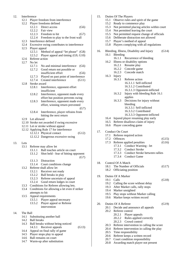| 12. | Interference |                                                         |  |  |  |  |  |
|-----|--------------|---------------------------------------------------------|--|--|--|--|--|
|     |              | 12.1 Player freedom from interference                   |  |  |  |  |  |
|     |              | 12.2 Player freedoms defined                            |  |  |  |  |  |
|     |              | 12.2.1<br>Direct access<br>(G6)                         |  |  |  |  |  |
|     |              | 12.2.2 Fair view                                        |  |  |  |  |  |
|     |              | 12.2.3 Freedom to hit<br>(G7)                           |  |  |  |  |  |
|     |              | 12.2.4 Freedom to play to the front wall                |  |  |  |  |  |
|     | 12.3         | Interference defined                                    |  |  |  |  |  |
|     |              | 12.4 Excessive swing contributes to interference        |  |  |  |  |  |
|     |              | 12.5 Player appeal                                      |  |  |  |  |  |
|     |              | 12.5.1<br>Method of appeal "let please" (G8)            |  |  |  |  |  |
|     |              | Player appeal and timing (G9, G10)<br>12.5.2            |  |  |  |  |  |
|     |              | 12.6 Referee action                                     |  |  |  |  |  |
|     |              | 12.7 No let                                             |  |  |  |  |  |
|     |              |                                                         |  |  |  |  |  |
|     |              | 12.7.1<br>No and minimal interference<br>(G6)           |  |  |  |  |  |
|     |              | 12.7.2<br>Good return not possible or                   |  |  |  |  |  |
|     |              | insufficient effort<br>(G6)                             |  |  |  |  |  |
|     |              | 12.7.3<br>Played on past point of interference          |  |  |  |  |  |
|     |              | 12.7.4<br>Created interference<br>(G11)                 |  |  |  |  |  |
|     | 12.8         | Stroke award                                            |  |  |  |  |  |
|     |              | 12.8.1<br>Interference, opponent effort<br>insufficient |  |  |  |  |  |
|     |              | 12.8.2<br>Interference, opponent made every             |  |  |  |  |  |
|     |              | effort but position prevents swing                      |  |  |  |  |  |
|     |              | 12.8.3<br>Interference, opponent made every             |  |  |  |  |  |
|     |              | effort, winning return prevented                        |  |  |  |  |  |
|     |              | (G7)<br>12.8.4<br>Interference, player refrains from    |  |  |  |  |  |
|     |              | hitting the next return                                 |  |  |  |  |  |
|     |              | 12.9 Let allowed                                        |  |  |  |  |  |
|     |              | 12.10 Stroke not awarded if swing excessive             |  |  |  |  |  |
|     |              | 12.11 Let or stroke without appeal                      |  |  |  |  |  |
|     |              | 12.12 Applying Rule 17 for interference                 |  |  |  |  |  |
|     |              | 12.12.1 Physical contact<br>(G12)                       |  |  |  |  |  |
|     |              | 12.12.2 Dangerous excessive swing                       |  |  |  |  |  |
|     |              |                                                         |  |  |  |  |  |
| 13. | Lets         |                                                         |  |  |  |  |  |
|     | 13.1         | Referee may allow let                                   |  |  |  |  |  |
|     |              | 13.1.1 Ball touches article on court                    |  |  |  |  |  |
|     |              | 13.1.2 Shot held - fear of hitting opponent             |  |  |  |  |  |
|     |              | (G7)                                                    |  |  |  |  |  |
|     |              | Distraction<br>13.1.3                                   |  |  |  |  |  |
|     |              | 13.1.4 Court conditions change                          |  |  |  |  |  |
|     | 13.2         | Referee shall allow let                                 |  |  |  |  |  |
|     |              | 13.2.1<br>Receiver not ready                            |  |  |  |  |  |
|     |              | 13.2.2<br>Ball breaks in play                           |  |  |  |  |  |
|     |              | 13.2.3<br>Referee uncertain of appeal                   |  |  |  |  |  |
|     |              | 13.2.4<br>Good return lodges in court                   |  |  |  |  |  |
|     | 13.3         | Conditions for Referee allowing lets.                   |  |  |  |  |  |
|     | 13.4         | Conditions for allowing a let even if striker           |  |  |  |  |  |
|     |              | attempts to hit                                         |  |  |  |  |  |
|     | 13.5         | Appeal requirements                                     |  |  |  |  |  |
|     |              | 13.5.1<br>Player appeal necessary                       |  |  |  |  |  |
|     |              | 13.5.2<br>Player appeal or Referee                      |  |  |  |  |  |
|     |              | intervention                                            |  |  |  |  |  |
|     |              |                                                         |  |  |  |  |  |
| 14. | The Ball     |                                                         |  |  |  |  |  |
|     | 14.1         | Substituting another ball                               |  |  |  |  |  |
|     | 14.2         | <b>Ball breaks</b>                                      |  |  |  |  |  |
|     | 14.3         | Ball breaks without being noticed                       |  |  |  |  |  |
|     |              | Receiver appeals<br>(G13)<br>14.3.1                     |  |  |  |  |  |
|     | 14.4         | Appeal on final rally of game                           |  |  |  |  |  |
|     |              | 14.5 Player stops play to appeal                        |  |  |  |  |  |
|     | 14.6         | Ball remains on court                                   |  |  |  |  |  |

14.7 Warm-up after substitution

- 20.6 Referee keeps a written record 20.7 Court condition responsibility
	- 20.8 Awarding match player not present

19.4 Marker unsighted

20.2 Referee control

20.5 Time responsibility

19.5 Play stops without Marker calling 19.6 Marker keeps written record

20.2.1 Player appeals

20.2.3 Crowd control

20. Duties Of A Referee (G19) 20.1 Decide and announce all appeals

20.2.2 Rules applied correctly

20.3 Referee intervention in calling the score 20.4 Referee intervention in calling the play

15. Duties Of The Players 15.1 Observe rules and spirit of the game 15.2 Ready to commence play 15.3 Not permitted placing articles within court 15.4 Not permitted leaving the court 15.5 Not permitted request change of officials 15.6 Deliberate distraction not allowed 15.7 Player's method of appeal 15.8 Players complying with all regulations 16. Bleeding, Illness, Disability and Injury (G14) 16.1 Bleeding 16.1.1 Recurrence of bleeding 16.2 Illness or disability options 16.2.1 Resume play 16.2.2 Concede game 16.2.3 Concede match 16.3 Injury 16.3.1 Referee action 16.3.1.1 Self-inflicted 16.3.1.2 Contributed 16.3.1.3 Opponent-inflicted 16.3.2 Injury with bleeding Rule 16.1 applies 16.3.3 Decisions for injury without bleeding 16.3.3.1 Self-inflicted 16.3.3.2 Contributed 16.3.3.3 Opponent-inflicted 16.4 Injured player resuming play early 16.5 Referee disallows claim of injury 16.6 Player conceding game 17. Conduct On Court 17.1 Referee required action 17.2 Offences (G15) 17.3 Referee applied penalties (G16) 17.3.1 Conduct Warning - let 17.3.2 Conduct Stroke 17.3.3 Conduct Stroke between rallies 17.3.4 Conduct Game 18. Control Of A Match 18.1 The Number of Officials (G17) 18.2 Officiating position 19. Duties Of A Marker 19.1 Calls (G18) 19.2 Calling the score without delay 19.3 After Marker calls, rally stops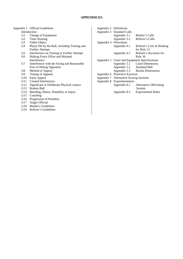#### **APPENDICES**

#### Appendix 1 Official Guidelines

- Introduction
- G1 Change of Equipment
- G2 Time-Wasting
- G3 Fallen Object
- G4 Player Hit by the Ball, including Turning and Further Attempt
- G5 Interference on Turning or Further Attempt
- G6 Making Every Effort and Minimal Interference
- G7 Interference with the Swing and Reasonable Fear of Hitting Opponent
- G8 Method of Appeal
- G9 Timing of Appeals
- G10 Early Appeal
- G11 Created Interference
- G12 Significant or Deliberate Physical contact
	- G13 Broken Ball
	- G14 Bleeding, Illness, Disability or Injury
	- G15 Coaching
	- G16 Progression of Penalties
	- G17 Single Official
	- G18 Marker's Guidelines
	- G19 Referee's Guidelines

| Appendix 2 Definitions |                                        |                                               |
|------------------------|----------------------------------------|-----------------------------------------------|
|                        | Appendix 3 Standard Calls              |                                               |
|                        | Appendix 3.1                           | Marker's Calls                                |
|                        | Appendix 3.2                           | Referee's Calls                               |
| Appendix 4 Flowcharts  |                                        |                                               |
|                        | Appendix 4.1                           | Referee's Line of thinking                    |
|                        |                                        | for Rule 12                                   |
|                        | Appendix 4.2                           | Referee's decisions for                       |
|                        |                                        | Rule 16                                       |
|                        |                                        | Appendix 5 Court and Equipment Specifications |
|                        |                                        | Appendix 5.1 Court Dimensions                 |
|                        | Appendix 5.2 Standard Ball             |                                               |
|                        |                                        | Appendix 5.3 Racket Dimensions                |
|                        | Appendix 6 Protective Eyewear          |                                               |
|                        | Appendix 7 Alternative Scoring Systems |                                               |
|                        | Appendix 8 Experimentation             |                                               |
|                        | Appendix 8.1                           | Alternative Officiating                       |
|                        |                                        | System                                        |
|                        | Appendix 8.2                           | <b>Experimental Rules</b>                     |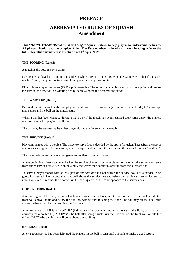## **PREFACE**

## **ABBREVIATED RULES OF SQUASH Amendment**

**This ABBREVIATED VERSION of the World Singles Squash Rules is to help players to understand the basics. All players should read the complete Rules. The Rule numbers in brackets in each heading refer to the**  full Rules. This amendment is effective from 1<sup>st</sup> April 2009.

#### **THE SCORING (Rule 2)**

A match is the best of 3 or 5 games.

Each game is played to 11 points. The player who scores 11 points first wins the game except that if the score reaches 10-all, the game continues until one player leads by two points.

Either player may score points (PAR – point–a–rally). The server, on winning a rally, scores a point and retains the service; the receiver, on winning a rally, scores a point and becomes the server.

#### **THE WARM-UP (Rule 3)**

Before the start of a match, the two players are allowed up to 5 minutes (2½ minutes on each side) to "warm-up" themselves and the ball on the match court.

When a ball has been changed during a match, or if the match has been resumed after some delay, the players warm-up the ball to playing condition.

The ball may be warmed up by either player during any interval in the match.

#### **THE SERVICE (Rule 4)**

Play commences with a service. The player to serve first is decided by the spin of a racket. Thereafter, the server continues serving until losing a rally, when the opponent becomes the server and the server becomes "hand out".

The player who wins the preceding game serves first in the next game.

At the beginning of each game and when the service changes from one player to the other, the server can serve from either service box. After winning a rally the server then continues serving from the alternate box.

To serve a player stands with at least part of one foot on the floor within the service box. For a service to be good, it is served directly onto the front wall above the service line and below the out line so that on its return, unless volleyed, it reaches the floor within the back quarter of the court opposite to the server's box.

#### **GOOD RETURN (Rule 6)**

A return is good if the ball, before it has bounced twice on the floor, is returned correctly by the striker onto the front wall above the tin and below the out line, without first touching the floor. The ball may hit the side walls and/or the back wall before reaching the front wall.

A return is not good if it is "NOT UP" (ball struck after bouncing more than once on the floor, or not struck correctly, or a double hit); "DOWN" (the ball after being struck, hits the floor before the front wall or hits the tin) or "OUT" (the ball hits a wall on or above the out line).

#### **RALLIES (Rule 8)**

After a good service has been delivered the players hit the ball in turn until one fails to make a good return.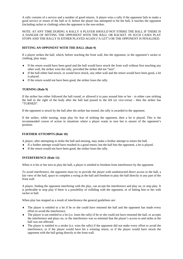A rally consists of a service and a number of good returns. A player wins a rally if the opponent fails to make a good service or return of the ball or if, before the player has attempted to hit the ball, it touches the opponent (including racket or clothing) when the opponent is the non-striker.

#### NOTE: AT ANY TIME DURING A RALLY A PLAYER SHOULD NOT STRIKE THE BALL IF THERE IS A DANGER OF HITTING THE OPPONENT WITH THE BALL OR RACKET. IN SUCH CASES PLAY STOPS AND THE RALLY IS EITHER PLAYED AGAIN ("A LET") OR THE OPPONENT IS PENALISED.

#### **HITTING AN OPPONENT WITH THE BALL (Rule 9)**

If a player strikes the ball, which, before reaching the front wall, hits the opponent, or the opponent's racket or clothing, play stops.

- If the return would have been good and the ball would have struck the front wall without first touching any other wall, the striker wins the rally, provided the striker did not "turn".
- If the ball either had struck, or would have struck, any other wall and the return would have been good, a let is played.
- $\bullet$  If the return would not have been good, the striker loses the rally.

#### **TURNING (Rule 9)**

If the striker has either followed the ball round, or allowed it to pass around him or her - in either case striking the ball to the right of the body after the ball had passed to the left (or vice-versa) - then the striker has "TURNED".

If the opponent is struck by the ball after the striker has turned, the rally is awarded to the opponent.

If the striker, while turning, stops play for fear of striking the opponent, then a let is played. This is the recommended course of action in situations where a player wants to turn but is unsure of the opponent's position.

#### **FURTHER ATTEMPTS (Rule 10)**

A player, after attempting to strike the ball and missing, may make a further attempt to return the ball.

- If a further attempt would have resulted in a good return, but the ball hits the opponent, a let is played.
- If the return would not have been good, the striker loses the rally.

#### **INTERFERENCE (Rule 12)**

When it is his or her turn to play the ball, a player is entitled to freedom from interference by the opponent.

To avoid interference, the opponent must try to provide the player with unobstructed direct access to the ball, a fair view of the ball, space to complete a swing at the ball and freedom to play the ball directly to any part of the front wall.

A player, finding the opponent interfering with the play, can accept the interference and play on, or stop play. It is preferable to stop play if there is a possibility of colliding with the opponent, or of hitting him or her with racket or ball.

When play has stopped as a result of interference the general guidelines are:

- The player is entitled to a let if he or she could have returned the ball and the opponent has made every effort to avoid the interference.
- $\bullet$  The player is not entitled to a let (i.e. loses the rally) if he or she could not have returned the ball, or accepts the interference and plays on, or the interference was so minimal that the player's access to and strike at the ball was not affected.
- The player is entitled to a stroke (i.e. wins the rally) if the opponent did not make every effort to avoid the interference, or if the player would have hit a winning return, or if the player would have struck the opponent with the ball going directly to the front wall.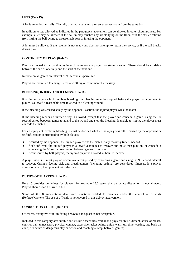#### **LETS (Rule 13)**

A let is an undecided rally. The rally does not count and the server serves again from the same box.

In addition to lets allowed as indicated in the paragraphs above, lets can be allowed in other circumstances. For example, a let may be allowed if the ball in play touches any article lying on the floor, or if the striker refrains from hitting the ball owing to a reasonable fear of injuring the opponent.

A let must be allowed if the receiver is not ready and does not attempt to return the service, or if the ball breaks during play.

#### **CONTINUITY OF PLAY (Rule 7)**

Play is expected to be continuous in each game once a player has started serving. There should be no delay between the end of one rally and the start of the next one.

In between all games an interval of 90 seconds is permitted.

Players are permitted to change items of clothing or equipment if necessary.

#### **BLEEDING, INJURY AND ILLNESS (Rule 16)**

If an injury occurs which involves bleeding, the bleeding must be stopped before the player can continue. A player is allowed a reasonable time to attend to a bleeding wound.

If the bleeding was caused solely by the opponent's action, the injured player wins the match.

If the bleeding recurs no further delay is allowed, except that the player can concede a game, using the 90 second period between games to attend to the wound and stop the bleeding. If unable to stop it, the player must concede the match.

For an injury not involving bleeding, it must be decided whether the injury was either caused by the opponent or self inflicted or contributed to by both players.

- If caused by the opponent, the injured player wins the match if any recovery time is needed.
- If self-inflicted, the injured player is allowed 3 minutes to recover and must then play on, or concede a game using the 90 second rest period between games to recover.
- If contributed by both players, the injured player is allowed an hour to recover.

A player who is ill must play on or can take a rest period by conceding a game and using the 90 second interval to recover. Cramps, feeling sick and breathlessness (including asthma) are considered illnesses. If a player vomits on court, the opponent wins the match.

#### **DUTIES OF PLAYERS (Rule 15)**

Rule 15 provides guidelines for players. For example 15.6 states that deliberate distraction is not allowed. Players should read this rule in full.

Some of the 8 sub-sections deal with situations related to matches under the control of officials (Referee/Marker). The use of officials is not covered in this abbreviated version.

#### **CONDUCT ON COURT (Rule 17)**

Offensive, disruptive or intimidating behaviour in squash is not acceptable.

Included in this category are: audible and visible obscenities, verbal and physical abuse, dissent, abuse of racket, court or ball, unnecessary physical contact, excessive racket swing, unfair warm-up, time-wasting, late back on court, deliberate or dangerous play or action and coaching (except between games).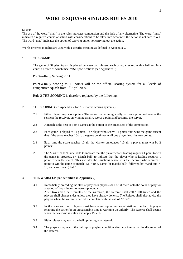## **WORLD SQUASH SINGLES RULES 2010**

#### **NOTE**

The use of the word "shall" in the rules indicates compulsion and the lack of any alternative. The word "must" indicates a required course of action with considerations to be taken into account if the action is not carried out. The word "may" indicates the option of carrying out or not carrying out the action.

Words or terms in italics are used with a specific meaning as defined in Appendix 2.

#### **1. THE GAME**

The game of Singles Squash is played between two players, each using a racket, with a ball and in a court, all three of which meet WSF specifications (see Appendix 5).

Point-a-Rally Scoring to 11

Point-a-Rally scoring to 11 points will be the official scoring system for all levels of competitive squash from  $1<sup>st</sup>$  April 2009.

Rule 2 THE SCORING is therefore replaced by the following.

- 2. THE SCORING (see Appendix 7 for Alternative scoring systems.)
	- 2.1 Either player may score points. The server, on winning a rally, scores a point and retains the service; the receiver, on winning a rally, scores a point and becomes the server.
	- 2.2 A match is the best of 3 or 5 games at the option of the organisers of the competition.
	- 2.3 Each game is played to 11 points. The player who scores 11 points first wins the game except that if the score reaches 10-all, the game continues until one player leads by two points.
	- 2.4 Each time the score reaches 10-all, the Marker announces "10-all: a player must win by 2 points".
	- 2.5 The Marker calls "Game ball" to indicate that the player who is leading requires 1 point to win the game in progress, or "Match ball" to indicate that the player who is leading requires 1 point to win the match. This includes the situations where it is the receiver who requires 1 point to win the game or match (e.g. "10-6, game (or match) ball" followed by "hand out, 7- 10, game (or match) ball".

#### **3. THE WARM-UP (see definition in Appendix 2)**

- 3.1 Immediately preceding the start of play both players shall be allowed onto the court of play for a period of five minutes to warm-up together. After two and a half minutes of the warm-up, the Referee shall call "Half time" and the players shall change sides unless they have already done so. The Referee shall also advise the players when the warm-up period is complete with the call of "Time".
- 3.2 In the warm-up both players must have equal opportunities of striking the ball. A player retaining the strike for an unreasonable time is warming up unfairly. The Referee shall decide when the warm-up is unfair and apply Rule 17.
- 3.3 Either player may warm the ball up during any interval.
- 3.4 The players may warm the ball up to playing condition after any interval at the discretion of the Referee.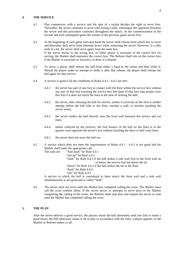#### **4. THE SERVICE**

- 4.1 Play commences with a service and the spin of a racket decides the right to serve first. Thereafter, the server continues to serve until losing a rally, whereupon the opponent becomes the server and this procedure continues throughout the match. At the commencement of the second and each subsequent game the winner of the previous game serves first.
- 4.2 At the beginning of each game and each *hand* the server shall choose from which box to serve and thereafter shall serve from alternate boxes while remaining the server. However, if a rally ends in a let, the server shall serve again from the same box. If the server moves to the wrong box, or either player is uncertain of the correct box for serving, the Marker shall announce the correct box. The Referee shall rule on the correct box if the Marker is uncertain or incorrect, or there is a dispute.
- 4.3 To serve, a player shall release the ball from either a hand or the racket and then strike it. Should the player make no attempt to strike it after that release, the player shall release the ball again for that service.
- 4.4 A service is good if all the conditions in Rules 4.4.1 4.4.5 are met:
	- 4.4.1 the server has part of one foot in contact with the floor within the service box without any part of that foot touching the service box line (part of that foot may project over this line if it does not touch the line) at the time of striking the ball;
	- 4.4.2 the server, after releasing the ball for service, strikes it *correctly* on the first or further attempt before the ball falls to the floor, touches a wall, or touches anything the server wears;
	- 4.4.3 the server strikes the ball directly onto the front wall between the service and out lines;
	- 4.4.4 unless volleyed by the receiver, the first bounce of the ball on the floor is in the quarter court opposite the server's box without touching the short or half court lines;
	- 4.4.5 the server does not serve the ball out.
- 4.5 A service which does not meet the requirements of Rules 4.4.1 4.4.5 is not good and the Marker shall make the appropriate call.

The calls are: "foot-fault" for Rule 4.4.1 "not up" for Rule 4.4.2 "fault" for Rule 4.4.3 if the ball strikes a side wall first or the front wall on or below the service line but above the tin "down" for Rule 4.4.3 if the ball strikes the tin or the floor "fault" for Rule 4.4.4 "out" for Rule 4.4.5

A service in which the ball is considered to have struck the front wall and a side wall simultaneously is not good and is called "fault".

4.6 The server must not serve until the Marker has completed calling the score. The Marker must call the score without delay. If the server serves or attempts to serve prior to the Marker completing the calling of the score, the Referee shall stop play and require the server to wait until the Marker has completed calling the score.

#### **5. THE PLAY**

After the server delivers a good service, the players return the ball alternately until one fails to make a good return, the ball otherwise ceases to be in play in accordance with the rules, a player appeals, or the Marker or Referee makes a call.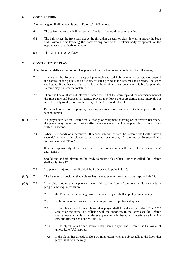#### **6. GOOD RETURN**

A return is good if all the conditions in Rules 6.1 - 6.3 are met.

- 6.1 The striker returns the ball *correctly* before it has bounced twice on the floor.
- 6.2 The ball strikes the front wall above the tin, either directly or via side wall(s) and/or the back wall, without first touching the floor or any part of the striker's body or apparel, or the opponent's racket, body or apparel.
- 6.3 The ball is not *out or down.*

#### **7. CONTINUITY OF PLAY**

After the server delivers the first service, play shall be continuous so far as is practical. However,

- 7.1 at any time the Referee may suspend play owing to bad light or other circumstances beyond the control of the players and officials, for such period as the Referee shall decide. The score shall stand. If another court is available and the original court remains unsuitable for play, the Referee may transfer the match to it.
- 7.2 There shall be a 90 second interval between the end of the warm-up and the commencement of the first game and between all games. Players may leave the court during these intervals but must be ready to play prior to the expiry of the 90 second interval.

By mutual consent of the players, play may commence or resume prior to the expiry of the 90 second interval.

- (G1) 7.3 If a player satisfies the Referee that a change of equipment, clothing or footwear is necessary, the player may leave the court to effect the change as quickly as possible but must do so within 90 seconds.
	- 7.4 When 15 seconds of a permitted 90 second interval remain the Referee shall call "Fifteen seconds" to advise the players to be ready to resume play. At the end of 90 seconds the Referee shall call "Time".

It is the responsibility of the players to be in a position to hear the calls of "Fifteen seconds" and "Time".

Should one or both players not be ready to resume play when "Time" is called, the Referee shall apply Rule 17.

- 7.5 If a player is injured, ill or disabled the Referee shall apply Rule 16.
- (G2) 7.6 The Referee, on deciding that a player has delayed play unreasonably, shall apply Rule 17.
- (G3) 7.7 If an object, other than a player's racket, falls to the floor of the court while a rally is in progress the requirements are:
	- 7.7.1 the Referee, on becoming aware of a fallen object, shall stop play immediately;
	- 7.7.2 a player becoming aware of a fallen object may stop play and appeal.
	- 7.7.3 If the object falls from a player, that player shall lose the rally, unless Rule 7.7.5 applies or the cause is a collision with the opponent. In the latter case the Referee shall allow a let, unless the player appeals for a let because of interference in which case the Referee shall apply Rule 12.
	- 7.7.4 If the object falls from a source other than a player, the Referee shall allow a let unless Rule 7.7.5 applies.
	- 7.7.5 If the player has already made a winning return when the object falls to the floor, that player shall win the rally.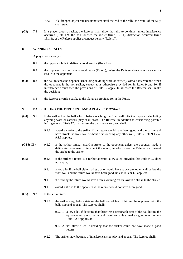- 7.7.6 If a dropped object remains unnoticed until the end of the rally, the result of the rally shall stand.
- (G3) 7.8 If a player drops a racket, the Referee shall allow the rally to continue, unless interference occurred (Rule 12), the ball touched the racket (Rule 13.1.1), distraction occurred (Rule 13.1.3), or the Referee applies a conduct penalty (Rule 17).

#### **8. WINNING A RALLY**

A player wins a rally if:

- 8.1 the opponent fails to deliver a good service (Rule 4.4);
- 8.2 the opponent fails to make a good return (Rule 6), unless the Referee allows a let or awards a stroke to the opponent;
- (G4) 8.3 the ball touches the opponent (including anything worn or carried), without interference, when the opponent is the non-striker, except as is otherwise provided for in Rules 9 and 10. If interference occurs then the provisions of Rule 12 apply. In all cases the Referee shall make the decision;
	- 8.4 the Referee awards a stroke to the player as provided for in the Rules.

#### **9. BALL HITTING THE OPPONENT AND A PLAYER** *TURNING*

- (G4) 9.1 If the striker hits the ball which, before reaching the front wall, hits the opponent (including anything worn or carried), play shall cease. The Referee, in addition to considering possible infringement of Rule 17, shall assess the ball's trajectory and shall:
	- 9.1.1 award a stroke to the striker if the return would have been good and the ball would have struck the front wall without first touching any other wall, unless Rule 9.1.2 or 9.1.3 applies;
- $(G4 \& G5)$  9.1.2 if the striker turned, award a stroke to the opponent, unless the opponent made a deliberate movement to intercept the return, in which case the Referee shall award the stroke to the striker;
- (G5) 9.1.3 if the striker's return is a further attempt, allow a let, provided that Rule 9.1.2 does not apply;
	- 9.1.4 allow a let if the ball either had struck or would have struck any other wall before the front wall and the return would have been good, unless Rule 9.1.5 applies;
	- 9.1.5 if deciding the return would have been a winning return, award a stroke to the striker;
	- 9.1.6 award a stroke to the opponent if the return would not have been good.
- (G5) 9.2 If the striker turns:
	- 9.2.1 the striker may, before striking the ball, out of fear of hitting the opponent with the ball, stop and appeal. The Referee shall:
		- 9.2.1.1 allow a let, if deciding that there was a reasonable fear of the ball hitting the opponent and the striker would have been able to make a good return unless Rule 9.2.3 applies or
		- 9.2.1.2 not allow a let, if deciding that the striker could not have made a good return.
	- 9.2.2. The striker may, because of interference, stop play and appeal. The Referee shall: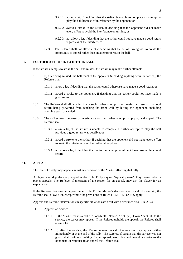- 9.2.2.1 allow a let, if deciding that the striker is unable to complete an attempt to play the ball because of interference by the opponent or
- 9.2.2.2 award a stroke to the striker, if deciding that the opponent did not make every effort to avoid the interference on turning, or
- 9.2.2.3 not allow a let, if deciding that the striker could not have made a good return regardless of the interference.
- 9.2.3 The Referee shall not allow a let if deciding that the act of turning was to create the opportunity to appeal rather than an attempt to return the ball.

#### **10. FURTHER ATTEMPTS TO HIT THE BALL**

If the striker attempts to strike the ball and misses, the striker may make further attempts.

- 10.1 If, after being missed, the ball touches the opponent (including anything worn or carried), the Referee shall:
	- 10.1.1 allow a let, if deciding that the striker could otherwise have made a good return, or
	- 10.1.2 award a stroke to the opponent, if deciding that the striker could not have made a good return.
- 10.2 The Referee shall allow a let if any such further attempt is successful but results in a good return being prevented from reaching the front wall by hitting the opponent, including anything worn or carried.
- 10.3 The striker may, because of interference on the further attempt, stop play and appeal. The Referee shall:
	- 10.3.1 allow a let, if the striker is unable to complete a further attempt to play the ball provided a good return was possible; or
	- 10.3.2 award a stroke to the striker, if deciding that the opponent did not make every effort to avoid the interference on the further attempt; or
	- 10.3.3 not allow a let, if deciding that the further attempt would not have resulted in a good return.

#### **11. APPEALS**

The loser of a rally may appeal against any decision of the Marker affecting that rally.

A player should preface any appeal under Rule 11 by saying "Appeal please". Play ceases when a player appeals. The Referee, if uncertain of the reason for an appeal, may ask the player for an explanation.

If the Referee disallows an appeal under Rule 11, the Marker's decision shall stand. If uncertain, the Referee shall allow a let, except where the provisions of Rules 11.2.1, 11.5 or 11.6 apply.

Appeals and Referee interventions in specific situations are dealt with below (see also Rule 20.4).

- 11.1 Appeals on Service.
	- 11.1.1 If the Marker makes a call of "Foot-fault", "Fault", "Not up", "Down" or "Out" to the service, the server may appeal. If the Referee upholds the appeal, the Referee shall allow a let.
	- 11.1.2 If, after the service, the Marker makes no call, the receiver may appeal, either immediately or at the end of the rally. The Referee, if certain that the service was not good, shall, without waiting for an appeal, stop play and award a stroke to the opponent. In response to an appeal the Referee shall: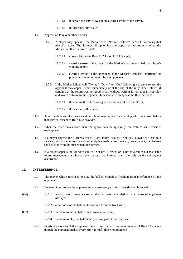- 11.1.2.1 if certain the service was good, award a stroke to the server.
- 11.1.2.2 if uncertain, allow a let.
- 11.2 Appeals on Play other than Service.
	- 11.2.1 A player may appeal if the Marker calls "Not up", "Down" or "Out" following that player's return. The Referee, if upholding the appeal or uncertain whether the Marker's call was correct, shall:
		- 11.2.1.1 allow a let, unless Rule 11.2.1.2 or 11.2.1.3 apply;
		- 11.2.1.2 award a stroke to the player, if the Marker's call interrupted that player's winning return;
		- 11.2.1.3 award a stroke to the opponent, if the Marker's call has interrupted or prevented a winning return by the opponent.
	- 11.2.2 If the Marker fails to call "Not up", "Down" or "Out" following a player's return, the opponent may appeal either immediately or at the end of the rally. The Referee, if certain that the return was not good, shall, without waiting for an appeal, stop play and award a stroke to the opponent. In response to an appeal the Referee shall:
		- 11.2.2.1 if deciding the return was good, award a stroke to the player;
		- 11.2.2.2 if uncertain, allow a let.
- 11.3 After the delivery of a service neither player may appeal for anything which occurred before that service, except as Rule 14.3 provides.
- 11.4 When the loser makes more than one appeal concerning a rally, the Referee shall consider each appeal.
- 11.5 If a player appeals the Marker's call of "Foot-fault", "Fault", "Not up", "Down" or "Out" to a service but that same service subsequently is clearly a fault, not up, down or out, the Referee shall rule only on the subsequent occurrence.
- 11.6 If a player appeals the Marker's call of "Not up", "Down" or "Out" to a return but that same return subsequently is clearly down or out, the Referee shall rule only on the subsequent occurrence.

#### **12. INTERFERENCE**

- 12.1 The player whose turn it is to play the ball is entitled to freedom from interference by the opponent.
- 12.2 To avoid interference the opponent must make every effort to provide the player with:
- (G6) 12.2.1 unobstructed direct access to the ball after completion of a *reasonable followthrough;*
	- 12.2.2 a fair view of the ball on its rebound from the front wall;
- (G7) 12.2.3 freedom to hit the ball with a *reasonable swing;*
	- 12.2.4 freedom to play the ball directly to any part of the front wall.
	- 12.3 Interference occurs if the opponent fails to fulfil any of the requirements of Rule 12.2, even though the opponent makes every effort to fulfil those requirements.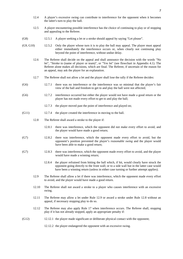- 12.4 A player's excessive swing can contribute to interference for the opponent when it becomes the latter's turn to play the ball.
- 12.5 A player encountering possible interference has the choice of continuing to play or of stopping and appealing to the Referee.
- (G8) 12.5.1 A player seeking a let or a stroke should appeal by saying "Let please".
- (G9, G10) 12.5.2 Only the player whose turn it is to play the ball may appeal. The player must appeal either immediately the interference occurs or, when clearly not continuing play beyond the point of interference, without undue delay.
	- 12.6 The Referee shall decide on the appeal and shall announce the decision with the words "No let", "Stroke to (name of player or team)", or "Yes let" (see flowchart in Appendix 4.1). The Referee alone makes all decisions, which are final. The Referee, if uncertain of the reason for an appeal, may ask the player for an explanation.
	- 12.7 The Referee shall not allow a let and the player shall lose the rally if the Referee decides:
- (G6) 12.7.1 there was no interference or the interference was so minimal that the player's fair view of the ball and freedom to get to and play the ball were not affected;
- (G6) 12.7.2 interference occurred but either the player would not have made a good return or the player has not made every effort to get to and play the ball;
	- 12.7.3 the player moved past the point of interference and played on;
- (G11) 12.7.4 the player created the interference in moving to the ball.
	- 12.8 The Referee shall award a stroke to the player if:
		- 12.8.1 there was interference, which the opponent did not make every effort to avoid, and the player would have made a good return;
- (G7) 12.8.2 there was interference, which the opponent made every effort to avoid, but the opponent's position prevented the player's *reasonable swing* and the player would have been able to make a good return;
- (G7) 12.8.3 there was interference, which the opponent made every effort to avoid, and the player would have made a winning return;
	- 12.8.4 the player refrained from hitting the ball which, if hit, would clearly have struck the opponent going directly to the front wall; or to a side wall but in the latter case would have been a winning return (unless in either case turning or further attempt applies).
	- 12.9 The Referee shall allow a let if there was interference, which the opponent made every effort to avoid, and the player would have made a good return.
	- 12.10 The Referee shall not award a stroke to a player who causes interference with an excessive swing.
	- 12.11 The Referee may allow a let under Rule 12.9 or award a stroke under Rule 12.8 without an appeal, if necessary stopping play to do so.
	- 12.12 The Referee may also apply Rule 17 when interference occurs. The Referee shall, stopping play if it has not already stopped, apply an appropriate penalty if:
- (G12) 12.12.1 the player made significant or deliberate physical contact with the opponent;

12.12.2 the player endangered the opponent with an excessive swing.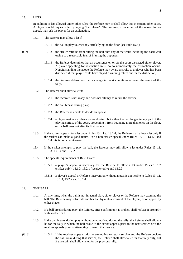#### **13. LETS**

In addition to lets allowed under other rules, the Referee may or shall allow lets in certain other cases. A player should request a let by saying "Let please". The Referee, if uncertain of the reason for an appeal, may ask the player for an explanation.

- 13.1 The Referee may allow a let if:
	- 13.1.1 the ball in play touches any article lying on the floor (see Rule 15.3);
- (G7) 13.1.2 the striker refrains from hitting the ball onto any of the walls including the back wall owing to a reasonable fear of injuring the opponent;
	- 13.1.3 the Referee determines that an occurrence on or off the court distracted either player. A player appealing for distraction must do so immediately the distraction occurs. Notwithstanding the above the Referee may award a stroke to a player who has been distracted if that player could have played a winning return but for the distraction;
	- 13.1.4 the Referee determines that a change in court conditions affected the result of the rally.
	- 13.2 The Referee shall allow a let if:
		- 13.2.1 the receiver is not ready and does not attempt to return the service;
		- 13.2.2 the ball breaks during play;
		- 13.2.3 the Referee is unable to decide an appeal;
		- 13.2.4 a player makes an otherwise good return but either the ball lodges in any part of the playing surface of the court, preventing it from bouncing more than once on the floor, or the ball goes out after its first bounce.
	- 13.3 If the striker appeals for a let under Rules 13.1.1 to 13.1.4, the Referee shall allow a let only if the striker can make a good return. For a non-striker appeal under Rules 13.1.1, 13.1.3 and 13.1.4 this is not a requirement.
	- 13.4 If the striker attempts to play the ball, the Referee may still allow a let under Rules 13.1.1, 13.1.3, 13.1.4 and 13.2.2.
	- 13.5 The appeals requirements of Rule 13 are:
		- 13.5.1 a player's appeal is necessary for the Referee to allow a let under Rules 13.1.2 (striker only), 13.1.3, 13.2.1 (receiver only) and 13.2.3;
		- 13.5.2 a player's appeal or Referee intervention without appeal is applicable to Rules 13.1.1, 13.1.4, 13.2.2 and 13.2.4.

#### **14. THE BALL**

- 14.1 At any time, when the ball is not in actual play, either player or the Referee may examine the ball. The Referee may substitute another ball by mutual consent of the players, or on appeal by either player.
- 14.2 If a ball breaks during play, the Referee, after confirming it is broken, shall replace it promptly with another ball.
- 14.3 If the ball breaks during play without being noticed during the rally, the Referee shall allow a let for the rally in which the ball broke, if the server appeals prior to the next service or if the receiver appeals prior to attempting to return that service.
- (G13) 14.3.1 If the receiver appeals prior to attempting to return service and the Referee decides the ball broke during that service, the Referee shall allow a let for that rally only, but if uncertain shall allow a let for the previous rally.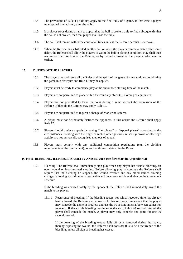- 14.4 The provisions of Rule 14.3 do not apply to the final rally of a game. In that case a player must appeal immediately after the rally.
- 14.5 If a player stops during a rally to appeal that the ball is broken, only to find subsequently that the ball is not broken, then that player shall lose the rally.
- 14.6 The ball shall remain within the court at all times, unless the Referee permits its removal.
- 14.7 When the Referee has substituted another ball or when the players resume a match after some delay, the Referee shall allow the players to warm the ball to playing condition. Play shall then resume on the direction of the Referee, or by mutual consent of the players, whichever is earlier.

#### **15. DUTIES OF THE PLAYERS**

- 15.1 The players must observe all the Rules and the spirit of the game. Failure to do so could bring the game into disrepute and Rule 17 may be applied.
- 15.2 Players must be ready to commence play at the announced starting time of the match.
- 15.3 Players are not permitted to place within the court any object(s), clothing or equipment.
- 15.4 Players are not permitted to leave the court during a game without the permission of the Referee. If they do the Referee may apply Rule 17.
- 15.5 Players are not permitted to request a change of Marker or Referee.
- 15.6 A player must not deliberately distract the opponent. If this occurs the Referee shall apply Rule 17.
- 15.7 Players should preface appeals by saying "Let please" or "Appeal please" according to the circumstances. Pointing with the finger or racket, other gestures, raised eyebrows or other eye activity are not universally recognised methods of appeal.
- 15.8 Players must comply with any additional competition regulations (e.g. the clothing requirements of the tournament), as well as those contained in the Rules.

#### **(G14) 16. BLEEDING, ILLNESS, DISABILITY AND INJURY (see flowchart in Appendix 4.2)**

16.1 Bleeding: The Referee shall immediately stop play when any player has visible bleeding, an open wound or blood-stained clothing. Before allowing play to continue the Referee shall require that the bleeding be stopped, the wound covered and any blood-stained clothing changed, allowing such time as is reasonable and necessary and is available on the tournament schedule.

If the bleeding was caused solely by the opponent, the Referee shall immediately award the match to the player.

16.1.1 Recurrence of bleeding: If the bleeding recurs, for which recovery time has already been allowed, the Referee shall allow no further recovery time except that the player may concede the game in progress and use the 90 second interval between games for recovery. If the visible bleeding continues at the end of this 90 second interval the player shall concede the match. A player may only concede one game for one 90 second interval.

If the covering of the bleeding wound falls off or is removed during the match, thereby exposing the wound, the Referee shall consider this to be a recurrence of the bleeding, unless all sign of bleeding has ceased.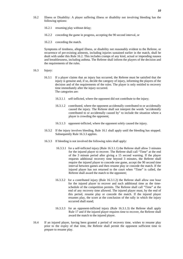- 16.2 Illness or Disability: A player suffering illness or disability not involving bleeding has the following options:
	- 16.2.1 resuming play without delay;
	- 16.2.2 conceding the game in progress, accepting the 90 second interval, or
	- 16.2.3 conceding the match.

Symptoms of tiredness, alleged illness, or disability not reasonably evident to the Referee, or recurrence of pre-existing ailments, including injuries sustained earlier in the match, shall be dealt with under this Rule 16.2. This includes cramps of any kind, actual or impending nausea and breathlessness, including asthma. The Referee shall inform the players of the decision and the requirements of the rules.

- 16.3 Injury:
	- 16.3.1 If a player claims that an injury has occurred, the Referee must be satisfied that the injury is genuine and, if so, decide the category of injury, informing the players of the decision and of the requirements of the rules. The player is only entitled to recovery time immediately after the injury occurred. The categories are:
		- 16.3.1.1 self-inflicted, where the opponent did not contribute to the injury;
		- 16.3.1.2 contributed, where the opponent accidentally contributed to or accidentally caused the injury. The Referee shall not interpret the words "accidentally contributed to or accidentally caused by" to include the situation where a player is crowding the opponent;
		- 16.3.1.3 opponent-inflicted, where the opponent solely caused the injury.
	- 16.3.2 If the injury involves bleeding, Rule 16.1 shall apply until the bleeding has stopped. Subsequently Rule 16.3.3 applies.
	- 16.3.3 If bleeding is not involved the following rules shall apply:
		- 16.3.3.1 for a self-inflicted injury (Rule 16.3.1.1) the Referee shall allow 3 minutes for the injured player to recover. The Referee shall call "Time" at the end of the 3 minute period after giving a 15 second warning. If the player requests additional recovery time beyond 3 minutes, the Referee shall require the injured player to concede one game, accept the 90 second time interval between games and then resume play or concede the match. If the injured player has not returned to the court when "Time" is called, the Referee shall award the match to the opponent;
		- 16.3.3.2 for a contributed injury (Rule 16.3.1.2) the Referee shall allow one hour for the injured player to recover and such additional time as the timeschedule of the competition permits. The Referee shall call "Time" at the end of any recovery time allowed. The injured player must, by the end of this period, resume play or concede the match. If the injured player resumes play, the score at the conclusion of the rally in which the injury occurred shall stand;
		- 16.3.3.3 for an opponent-inflicted injury (Rule 16.3.1.3) the Referee shall apply Rule 17 and if the injured player requires time to recover, the Referee shall award the match to the injured player.
- 16.4 If an injured player, having been granted a period of recovery time, wishes to resume play prior to the expiry of that time, the Referee shall permit the opponent sufficient time to prepare to resume play.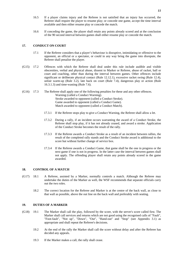- 16.5 If a player claims injury and the Referee is not satisfied that an injury has occurred, the Referee shall require the player to resume play; or concede one game, accept the time interval available and then either resume play or concede the match.
- 16.6 If conceding the game, the player shall retain any points already scored and at the conclusion of the 90 second interval between games shall either resume play or concede the match.

#### **17. CONDUCT ON COURT**

- 17.1 If the Referee considers that a player's behaviour is disruptive, intimidating or offensive to the opponent, an official or a spectator, or could in any way bring the game into disrepute, the Referee shall penalise the player.
- (G15) 17.2 Offences with which the Referee shall deal under this rule include audible and visible obscenities, verbal and physical abuse, dissent to Marker or Referee, abuse of racket, ball or court and coaching, other than during the interval between games. Other offences include significant or deliberate physical contact (Rule 12.12.1), excessive racket swing (Rule 12.4), unfair warm-up (Rule 3.2), late back on court (Rule 7.4), dangerous play or action (Rule 16.3.1.3) and time-wasting (Rule 7.6).
- (G16) 17.3 The Referee shall apply one of the following penalties for these and any other offences. Warning (called a Conduct Warning). Stroke awarded to opponent (called a Conduct Stroke). Game awarded to opponent (called a Conduct Game). Match awarded to opponent (called a Conduct Match).
	- 17.3.1 If the Referee stops play to give a Conduct Warning, the Referee shall allow a let.
	- 17.3.2 During a rally, if an incident occurs warranting the award of a Conduct Stroke, the Referee shall stop play, if it has not already ceased, and award a stroke. Application of the Conduct Stroke becomes the result of the rally.
	- 17.3.3 If the Referee awards a Conduct Stroke as a result of an incident between rallies, the result of the completed rally stands and the Conduct Stroke award is additional to the score but without further change of service box.
	- 17.3.4 If the Referee awards a Conduct Game, that game shall be the one in progress or the next game if one is not in progress. In the latter case the interval between games shall not apply. The offending player shall retain any points already scored in the game awarded.

#### **18. CONTROL OF A MATCH**

- (G17) 18.1 A Referee, assisted by a Marker, normally controls a match. Although the Referee may undertake the duties of the Marker as well, the WSF recommends that separate officials carry out the two roles.
	- 18.2 The correct location for the Referee and Marker is at the centre of the back wall, as close to that wall as possible, above the out line on the back wall and preferably with seating.

#### **19. DUTIES OF A MARKER**

- (G18) 19.1 The Marker shall call the play, followed by the score, with the server's score called first. The Marker shall call services and returns which are not good using the recognised calls of "Fault", "Foot-fault", "Not up", "Down", "Out", "Hand-out" and "Stop" (see Appendix 3.1) as appropriate and shall repeat the Referee's decisions.
	- 19.2 At the end of the rally the Marker shall call the score without delay and after the Referee has decided any appeals.
	- 19.3 If the Marker makes a call, the rally shall cease.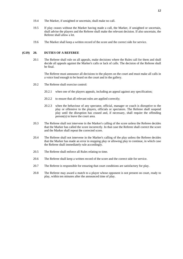- 19.4 The Marker, if unsighted or uncertain, shall make no call.
- 19.5 If play ceases without the Marker having made a call, the Marker, if unsighted or uncertain, shall advise the players and the Referee shall make the relevant decision. If also uncertain, the Referee shall allow a let.
- 19.6 The Marker shall keep a written record of the score and the correct side for service.

#### **(G19) 20. DUTIES OF A REFEREE**

20.1 The Referee shall rule on all appeals, make decisions where the Rules call for them and shall decide all appeals against the Marker's calls or lack of calls. The decision of the Referee shall be final.

The Referee must announce all decisions to the players on the court and must make all calls in a voice loud enough to be heard on the court and in the gallery.

- 20.2 The Referee shall exercise control:
	- 20.2.1 when one of the players appeals, including an appeal against any specification;
	- 20.2.2 to ensure that all relevant rules are applied correctly;
	- 20.2.3 when the behaviour of any spectator, official, manager or coach is disruptive to the play or offensive to the players, officials or spectators. The Referee shall suspend play until the disruption has ceased and, if necessary, shall require the offending person(s) to leave the court area.
- 20.3 The Referee shall not intervene in the Marker's calling of the score unless the Referee decides that the Marker has called the score incorrectly. In that case the Referee shall correct the score and the Marker shall repeat the corrected score.
- 20.4 The Referee shall not intervene in the Marker's calling of the play unless the Referee decides that the Marker has made an error in stopping play or allowing play to continue, in which case the Referee shall immediately rule accordingly.
- 20.5 The Referee shall enforce all Rules relating to time.
- 20.6 The Referee shall keep a written record of the score and the correct side for service.
- 20.7 The Referee is responsible for ensuring that court conditions are satisfactory for play.
- 20.8 The Referee may award a match to a player whose opponent is not present on court, ready to play, within ten minutes after the announced time of play.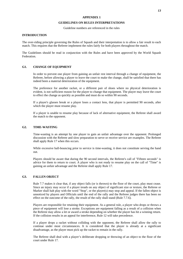#### **APPENDIX 1**

#### **GUIDELINES ON RULES INTERPRETATIONS**

Guideline numbers are referenced in the rules

#### **INTRODUCTION**

The over-riding principle governing the Rules of Squash and their interpretation is to allow a fair result to each match. This requires that the Referee implement the rules fairly for both players throughout the match.

The Guidelines should be read in conjunction with the Rules and have been approved by the World Squash Federation.

#### **G1. CHANGE OF EQUIPMENT**

In order to prevent one player from gaining an unfair rest interval through a change of equipment, the Referee, before allowing a player to leave the court to make the change, shall be satisfied that there has indeed been a material deterioration of the equipment.

The preference for another racket, or a different pair of shoes where no physical deterioration is evident, is not sufficient reason for the player to change that equipment. The player may leave the court to effect the change as quickly as possible and must do so within 90 seconds.

If a player's glasses break or a player loses a contact lens, that player is permitted 90 seconds, after which the player must resume play.

If a player is unable to resume play because of lack of alternative equipment, the Referee shall award the match to the opponent.

#### **G2. TIME-WASTING**

Time-wasting is an attempt by one player to gain an unfair advantage over the opponent. Prolonged discussion with the Referee and slow preparation to serve or receive service are examples. The Referee shall apply Rule 17 when this occurs.

While excessive ball-bouncing prior to service is time-wasting, it does not constitute serving the hand out.

Players should be aware that during the 90 second intervals, the Referee's call of "Fifteen seconds" is advice for them to return to court. A player who is not ready to resume play on the call of "Time" is gaining an unfair advantage and the Referee shall apply Rule 17.

#### **G3. FALLEN OBJECT**

Rule 7.7 makes it clear that, if any object falls (or is thrown) to the floor of the court, play must cease. Since an injury may occur if a player treads on any object of significant size or texture, the Referee or Marker shall halt play with the word "Stop", or the player(s) may stop and appeal. If the fallen object is unnoticed by players and Officials until the end of the rally and the Referee judges there has been no effect on the outcome of the rally, the result of the rally shall stand (Rule 7.7.6).

Players are responsible for retaining their equipment. As a general rule, a player who drops or throws a piece of equipment will lose a stroke. Exceptions are equipment falling as a result of a collision when the Referee may allow a let or award a stroke depending on whether the player has hit a winning return. If the collision results in an appeal for interference, Rule 12 will take precedence.

If a player drops a racket without colliding with the opponent, the Referee shall allow the rally to continue under most circumstances. It is considered that the player is already at a significant disadvantage, as the player must pick up the racket to remain in the rally.

The Referee shall deal with a player's deliberate dropping or throwing of an object to the floor of the court under Rule 17.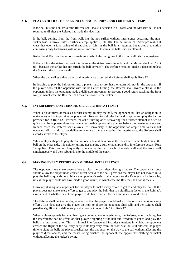#### **G4. PLAYER HIT BY THE BALL INCLUDING TURNING AND FURTHER ATTEMPT**

If the ball hits the non-striker the Referee shall make a decision in all cases and the Marker's call is not required until after the Referee has made this decision.

If the ball, coming from the front wall, hits the non-striker without interference occurring, the nonstriker loses a stroke unless further attempt applies (Rule 10). The definition of "Attempt" makes it clear that even a fake swing of the racket or feint at the ball is an attempt, but racket preparation comprising only backswing with no racket movement towards the ball is not an attempt.

Rules 9 and 10 cover the various situations in which the ball going to the front wall hits the non-striker.

If the ball hits the striker (without interference) the striker loses the rally and the Marker shall call "Not up", because the striker has not struck the ball *correctly*. The Referee need not make a decision unless the Marker fails to make a call.

When the ball strikes either player and interference occurred, the Referee shall apply Rule 12.

In deciding to play the ball on turning, a player must ensure that the return will not hit the opponent. If the player does hit the opponent with the ball after turning, the Referee shall award a stroke to the opponent, unless the opponent made a deliberate movement to prevent a good return reaching the front wall, in which case the Referee shall award a stroke to the striker.

#### **G5. INTERFERENCE ON TURNING OR A FURTHER ATTEMPT**

When a player turns or makes a further attempt to play the ball, the opponent still has an obligation to make every effort to provide the player with freedom to sight the ball and to get to and play the ball as provided for in Rule 12. However, the act of turning or of recovering for a further attempt is often so quick that the opponent does not have a reasonable opportunity to clear before the interference occurs. In such cases, the Referee shall allow a let. Conversely, if the opponent had ample time to clear but made no effort to do so, or deliberately moved thereby creating the interference, the Referee shall award a stroke to the player.

When a player shapes to play the ball on one side and then brings the racket across the body to take the ball on the other side, it is neither turning nor making a further attempt and, if interference occurs, Rule 12 applies. This position frequently occurs after the ball has hit the side wall and the front wall simultaneously and then rebounds into the middle of the court.

#### **G6. MAKING EVERY EFFORT AND MINIMAL INTERFERENCE**

The opponent must make every effort to clear the ball after playing a return. The opponent's route should allow the player unobstructed direct access to the ball, provided the player has not moved in to play the ball so quickly as to block the opponent's exit. In the latter case the Referee shall allow a let, unless the player could not have made a good return, in which case the Referee shall not allow a let.

However, it is equally important for the player to make every effort to get to and play the ball. If the player does not make every effort to get to and play the ball, that is a significant factor in the Referee's assessment of whether or not that player could have reached the ball and made a good return.

The Referee shall decide the degree of effort that the player should make to demonstrate "making every effort". This does not give the player the right to abuse the opponent physically and the Referee shall penalise significant or deliberate physical contact under Rule 12 or Rule 17.

When a player appeals for a let, having encountered some interference, the Referee, when deciding that the interference had no effect on that player's sighting of the ball and freedom to get to and play the ball, shall not allow a let. This is minimal interference and includes situations in which: the opponent crossed the flight of the ball very early in its trajectory from the front wall but still allowed the player time to sight the ball; the player brushed past the opponent on the way to the ball without affecting the player's direct access; and the racket swing brushed the opponent, the opponent's clothing or racket without affecting the racket's swing.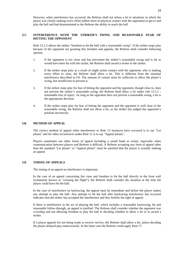However, when interference has occurred, the Referee shall not refuse a let in situations in which the player was clearly making every effort (albeit short of physical contact with the opponent) to get to and play the ball and had demonstrated to the Referee the ability to reach the ball.

#### **G7. INTERFERENCE WITH THE STRIKER'S SWING AND REASONABLE FEAR OF HITTING THE OPPONENT**

Rule 12.2.3 allows the striker "freedom to hit the ball with a *reasonable swing*". If the striker stops play because of the opponent not granting this freedom and appeals, the Referee shall consider following options:

- 1. If the opponent is too close and has prevented the striker's reasonable swing and is hit or would have been hit with the racket, the Referee shall award a stroke to the striker.
- 2. If the striker stops play as a result of slight racket contact with the opponent, who is making every effort to clear, the Referee shall allow a let. This is different from the minimal interference described in G6. The amount of contact must be sufficient to affect the player's swing, but insufficient to prevent it.
- 3. If the striker stops play for fear of hitting the opponent and the opponent, though close to, does not prevent the striker's reasonable swing, the Referee shall allow a let under rule 13.1.2 reasonable fear of injury. As long as the opponent does not prevent a reasonable swing, a let is the appropriate decision.
- 4. If the striker stops play for fear of hitting the opponent and the opponent is well clear of the reasonable swing, the Referee shall not allow a let, as the striker has judged the opponent's position incorrectly.

#### **G8. METHOD OF APPEAL**

The correct method of appeal when interference or Rule 13 instances have occurred is to say "Let please" and for other occurrences under Rule 11 is to say "Appeal please".

Players sometimes use other forms of appeal including a raised hand or racket, especially when communication between players and Referee is difficult. A Referee accepting any form of appeal other than the standard "Let please" or "Appeal please" must be satisfied that the player is actually making an appeal.

#### **G9. TIMING OF APPEALS**

The timing of an appeal on interference is important.

In the case of an appeal concerning fair view and freedom to hit the ball directly to the front wall (commonly known as "crossing the flight"), the Referee shall consider the situation at the time the player could have hit the ball.

In the case of interference on backswing, the appeal must be immediate and before the player makes any attempt to play the ball. Any attempt to hit the ball after backswing interference has occurred indicates that the striker has accepted the interference and thus forfeits the right of appeal.

If there is interference in the act of playing the ball, which includes a reasonable backswing, hit and reasonable follow-through, an appeal is justified. The Referee shall consider whether the opponent was *crowding* and not allowing freedom to play the ball in deciding whether to allow a let or to award a stroke.

If a player appeals for not being ready to receive service, the Referee shall allow a let, unless deciding the player delayed play unnecessarily. In the latter case the Referee could apply Rule 17.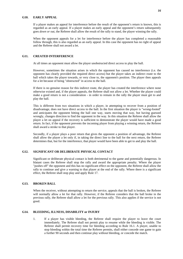#### **G10. EARLY APPEAL**

If a player makes an appeal for interference before the result of the opponent's return is known, this is regarded as an early appeal. If a player makes an early appeal and the opponent's return subsequently goes *down or out*, the Referee shall allow the result of the rally to stand, the player winning the rally.

When the opponent appeals for a let for interference before the player has completed a reasonable follow through, this is also regarded as an early appeal. In this case the opponent has no right of appeal and the Referee shall not award a let.

#### **G11. CREATED INTERFERENCE**

At all times an opponent must allow the player unobstructed direct access to play the ball.

However, sometimes the situation arises in which the opponent has caused no interference (i.e. the opponent has clearly provided the required direct access) but the player takes an indirect route to the ball which takes the player towards, or very close to, the opponent's position. The player then appeals for a let because of being "obstructed" in access to the ball.

If there is no genuine reason for this indirect route, the player has created the interference where none otherwise existed and, if the player appeals, the Referee shall not allow a let. Whether the player could make a good return is not a consideration - in order to remain in the rally the player must get to and play the ball.

This is different from two situations in which a player, in attempting to recover from a position of disadvantage, does not have direct access to the ball. In the first situation the player is "wrong-footed" and anticipates the opponent hitting the ball one way, starts moving that way, but having guessed wrongly, changes direction to find the opponent in the way. In this situation the Referee shall allow the player a let on appeal if the recovery is sufficient to demonstrate the player would have made a good return. In fact, if the opponent prevents the incoming player from playing a winning return, the Referee shall award a stroke to that player.

Secondly, if a player plays a poor return that gives the opponent a position of advantage, the Referee shall allow the player a let only if, in taking the direct line to the ball for the next return, the Referee determines that, but for the interference, that player would have been able to get to and play the ball.

#### **G12. SIGNIFICANT OR DELIBERATE PHYSICAL CONTACT**

Significant or deliberate physical contact is both detrimental to the game and potentially dangerous. In blatant cases the Referee shall stop the rally and award the appropriate penalty. Where the player "pushes off" the opponent and this has no significant effect on the opponent, the Referee shall allow the rally to continue and give a warning to that player at the end of the rally. Where there is a significant effect, the Referee shall stop play and apply Rule 17.

#### **G13. BROKEN BALL**

When the receiver, without attempting to return the service, appeals that the ball is broken, the Referee will normally allow a let for that rally. However, if the Referee considers that the ball broke in the previous rally, the Referee shall allow a let for the previous rally. This also applies if the service is not good.

#### **G14. BLEEDING, ILLNESS, DISABILITY or INJURY**

1. If a player has visible bleeding, the Referee shall require the player to leave the court immediately. The Referee shall not permit play to resume while the bleeding is visible. The Referee shall permit recovery time for bleeding according to Rule 16.1. A player, unable to stop bleeding within the total time the Referee permits, shall either concede one game to gain a further 90 seconds and then continue play without bleeding, or concede the match.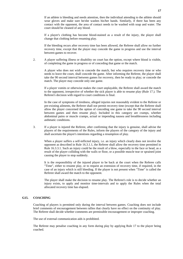If a player's clothing has become blood-stained as a result of the injury, the player shall change that clothing before resuming play.

If the bleeding recurs after recovery time has been allowed, the Referee shall allow no further recovery time, except that the player may concede the game in progress and use the interval between games to recover.

2. A player suffering illness or disability on court has the option, except where blood is visible, of completing the game in progress or of conceding that game or the match.

A player who does not wish to concede the match, but who requires recovery time or who needs to leave the court, shall concede the game. After informing the Referee, the player shall take the 90 second interval between games for recovery, then be ready to play; or concede the match. The player may concede only one game.

If a player vomits or otherwise makes the court unplayable, the Referee shall award the match to the opponent, irrespective of whether the sick player is able to resume play (Rule 17.). The Referee's decision with regard to court conditions is final.

In the case of symptoms of tiredness, alleged injuries not reasonably evident to the Referee or pre-existing ailments, the Referee shall not permit recovery time (except that the Referee shall allow the player concerned the option of conceding one game to take the 90 second interval between games and then resume play). Included in this category are cramps, whether abdominal pains or muscle cramps, actual or impending nausea and breathlessness including asthmatic conditions.

3. If a player is injured the Referee, after confirming that the injury is genuine, shall advise the players of the requirements of the Rules, inform the players of the category of the injury and shall ascertain the player's intentions regarding a resumption of play.

When a player suffers a self-inflicted injury, i.e. an injury which clearly does not involve the opponent as described in Rule 16.3.1.1, the Referee shall allow the recovery time permitted in Rule 16.3.3.1. Such an injury could be the result of a blow, especially to the face or head, as a result of the player colliding with the walls or floor, or a possible muscle tear or sprained joint causing the player to stop suddenly.

It is the responsibility of the injured player to be back at the court when the Referee calls "Time", either to resume play, or to request an extension of recovery time, if required, in the case of an injury which is still bleeding. If the player is not present when "Time" is called the Referee shall award the match to the opponent.

The player shall make the decision to resume play. The Referee's role is to decide whether an injury exists, to apply and monitor time-intervals and to apply the Rules when the total allocated recovery time has elapsed.

#### **G15. COACHING**

Coaching of players is permitted only during the interval between games. Coaching does not include brief comments of encouragement between rallies that clearly have no effect on the continuity of play. The Referee shall decide whether comments are permissible encouragement or improper coaching.

The use of external communication aids is prohibited.

The Referee may penalise coaching in any form during play by applying Rule 17 to the player being coached.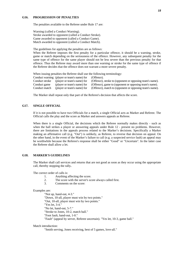#### **G16. PROGRESSION OF PENALTIES**

The penalties available to the Referee under Rule 17 are:

Warning (called a Conduct Warning). Stroke awarded to opponent (called a Conduct Stroke). Game awarded to opponent (called a Conduct Game). Match awarded to opponent (called a Conduct Match).

The guidelines for applying the penalties are as follows:

When the Referee imposes the first penalty for a particular offence, it should be a warning, stroke, game or match depending on the seriousness of the offence. However, any subsequent penalty for the same type of offence for the same player should not be less severe than the previous penalty for that offence. Thus the Referee may award more than one warning or stroke for the same type of offence if the Referee decides that the offence does not warrant a more severe penalty.

When issuing penalties the Referee shall use the following terminology:

|                | Conduct warning (player or team's name) for | (Offence).                                               |
|----------------|---------------------------------------------|----------------------------------------------------------|
| Conduct stroke | (player or team's name) for                 | (Offence), stroke to (opponent or opposing team's name). |
| Conduct game   | (player or team's name) for                 | (Offence), game to (opponent or opposing team's name).   |
| Conduct match  | (player or team's name) for                 | (Offence), match to (opponent or opposing team's name).  |

The Marker shall repeat only that part of the Referee's decision that affects the score.

#### **G17. SINGLE OFFICIAL**

If it is not possible to have two Officials for a match, a single Official acts as Marker and Referee. The Official calls the play and the score as Marker and answers appeals as Referee.

When there is a single Official, the decisions which the Referee normally makes directly - such as when the ball strikes a player or answering appeals under Rule 12 - present no problems. However, there are limitations in the appeals process related to the Marker's decisions. Specifically a Marker making an affirmative call (e.g. "Out") is unlikely, as Referee, to reverse that decision on appeal. On the other hand, in the event of the Marker's failure to call (e.g. a suspected service fault) an appeal may be worthwhile because the Referee's response shall be either "Good" or "Uncertain". In the latter case the Referee shall allow a let.

#### **G18. MARKER'S GUIDELINES**

The Marker shall call services and returns that are not good as soon as they occur using the appropriate call, thereby stopping the rally**.** 

The correct order of calls is:

- 1. Anything affecting the score.
- 2. The score with the server's score always called first.
- 3. Comments on the score:

#### Examples are:

"Not up, hand-out, 4-3." "Down, 10-all, player must win by two points." "Out, 10-all, player must win by two points." "Yes let, 3-4." "No let, hand-out, 5-7." "Stroke to Jones, 10-2, match ball." "Foot fault, hand-out, 1-0." "Fault" (appeal by server, Referee uncertain). "Yes let, 10-3, game ball."

Match introduction:

"Smith serving, Jones receiving, best of 5 games, love-all."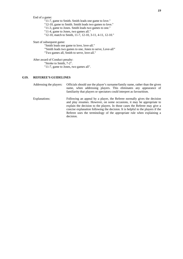End of a game:

"11-7, game to Smith. Smith leads one game to love."

"12-10, game to Smith. Smith leads two games to love."

"11-3, game to Jones. Smith leads two games to one."

"11-4, game to Jones, two games all."

"12-10, match to Smith, 11-7, 12-10, 3-11, 4-11, 12-10."

Start of subsequent game:

"Smith leads one game to love, love-all."

**"**Smith leads two games to one, Jones to serve, Love-all**"**  "Two games all, Smith to serve, love-all."

After award of Conduct penalty:

"Stroke to Smith, 7-2".

"11-7, game to Jones, two games all".

#### **G19. REFEREE'S GUIDELINES**

Addressing the players: Officials should use the player's surname/family name, rather than the given name, when addressing players. This eliminates any appearance of familiarity that players or spectators could interpret as favouritism.

Explanations: Following an appeal by a player, the Referee normally gives the decision and play resumes. However, on some occasions, it may be appropriate to explain the decision to the players. In those cases the Referee may give a concise explanation following the decision. It is helpful to the players if the Referee uses the terminology of the appropriate rule when explaining a decision.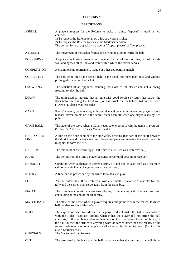#### **APPENDIX 2**

#### **DEFINITIONS**

| <b>APPEAL</b>                     | A player's request for the Referee to make a ruling. "Appeal" is used in two<br>contexts:-<br>1) To request the Referee to allow a let, or award a stroke;<br>2) To request the Referee to review the Marker's decision.<br>The correct form of appeal by a player is "Appeal please" or "Let please".                                                                                                                                                                                                          |
|-----------------------------------|-----------------------------------------------------------------------------------------------------------------------------------------------------------------------------------------------------------------------------------------------------------------------------------------------------------------------------------------------------------------------------------------------------------------------------------------------------------------------------------------------------------------|
| <b>ATTEMPT</b>                    | The movement of the racket from a backswing position towards the ball.                                                                                                                                                                                                                                                                                                                                                                                                                                          |
| <b>BOX (SERVICE)</b>              | A square area in each quarter court bounded by part of the short line, part of the side<br>wall and by two other lines and from within which the server serves.                                                                                                                                                                                                                                                                                                                                                 |
| <b>COMPETITION</b>                | A championship tournament, league or other competitive match.                                                                                                                                                                                                                                                                                                                                                                                                                                                   |
| <b>CORRECTLY</b>                  | The ball being hit by the racket, held in the hand, not more than once and without<br>prolonged contact on the racket.                                                                                                                                                                                                                                                                                                                                                                                          |
| <b>CROWDING</b>                   | The situation of an opponent standing too close to the striker and not allowing<br>freedom to play the ball.                                                                                                                                                                                                                                                                                                                                                                                                    |
| <b>DOWN</b>                       | The term used to indicate that an otherwise good service or return has struck the<br>floor before reaching the front wall, or has struck the tin before striking the floor.<br>("Down" is also a Marker's call).                                                                                                                                                                                                                                                                                                |
| <b>GAME</b>                       | Part of a match, commencing with a service and concluding when one player's score<br>reaches eleven points or, if the score reached ten-all, when one player leads by two<br>points.                                                                                                                                                                                                                                                                                                                            |
| <b>GAME BALL</b>                  | The state of the score when a player requires one point to win the game in progress.<br>("Game ball" is also used as a Marker's call).                                                                                                                                                                                                                                                                                                                                                                          |
| <b>HALF-COURT</b><br><b>LINE</b>  | A line on the floor parallel to the side walls, dividing that part of the court between<br>the short line and the back wall into two equal parts and meeting the short line at its<br>midpoint to form the "T".                                                                                                                                                                                                                                                                                                 |
| <b>HALF TIME</b>                  | The midpoint of the warm-up ("Half time" is also used as a Referee's call).                                                                                                                                                                                                                                                                                                                                                                                                                                     |
| <b>HAND</b>                       | The period from the time a player becomes server until becoming receiver.                                                                                                                                                                                                                                                                                                                                                                                                                                       |
| <b>HANDOUT</b>                    | Condition when a change of server occurs. ("Hand-out" is also used as a Marker's<br>call to indicate that a change of server has occurred).                                                                                                                                                                                                                                                                                                                                                                     |
| <b>INTERVAL</b>                   | A time-period prescribed by the Rules for a delay in play.                                                                                                                                                                                                                                                                                                                                                                                                                                                      |
| <b>LET</b>                        | An undecided rally. If the Referee allows a let, neither player wins a stroke for that<br>rally and the server shall serve again from the same box.                                                                                                                                                                                                                                                                                                                                                             |
| MATCH                             | The complete contest between two players, commencing with the warm-up and<br>concluding at the end of the final rally.                                                                                                                                                                                                                                                                                                                                                                                          |
| <b>MATCH BALL</b>                 | The state of the score when a player requires one point to win the match. ("Match<br>ball" is also used as a Marker's call).                                                                                                                                                                                                                                                                                                                                                                                    |
| <b>NOT UP</b><br><b>OFFICIALS</b> | The expression used to indicate that a player did not strike the ball in accordance<br>with the Rules. "Not up" applies when either the player did not strike the ball<br>correctly, or the ball bounced more than once on the floor before the striker hits it, or<br>the ball touched the striker or anything worn or carried other than the racket, or the<br>server made one or more attempts to strike the ball but failed to do so. ("Not up" is<br>also a Marker's call).<br>The Marker and the Referee. |
| <b>OUT</b>                        | The term used to indicate that the ball has struck either the out line, or a wall above                                                                                                                                                                                                                                                                                                                                                                                                                         |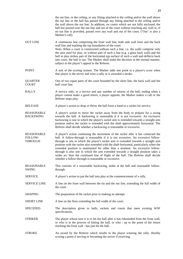|                                                | the out line, or the ceiling, or any fitting attached to the ceiling and/or the wall above<br>the out line or the ball has passed through any fitting attached to the ceiling and/or<br>the wall above the out line. In addition, on courts which are not fully enclosed, the<br>ball has passed over the out line and out of the court without touching any wall or, if<br>no out line is provided, passed over any wall and out of the court. ("Out" is also a<br>Marker's call).                                                                                                                                                                                         |
|------------------------------------------------|-----------------------------------------------------------------------------------------------------------------------------------------------------------------------------------------------------------------------------------------------------------------------------------------------------------------------------------------------------------------------------------------------------------------------------------------------------------------------------------------------------------------------------------------------------------------------------------------------------------------------------------------------------------------------------|
| <b>OUT LINE</b>                                | A continuous line comprising the front wall line, both side wall lines and the back<br>wall line and marking the top boundaries of the court.<br>Note: When a court is constructed without such a line, i.e. the walls comprise only<br>the area used for play, or without part of such a line (e.g. a glass back wall) and the<br>ball in play strikes part of the horizontal top surface of such a wall and deflects back<br>into court, the ball is out. The Marker shall make the decision in the normal manner,<br>subject to the player's appeal to the Referee.                                                                                                      |
| <b>POINT</b>                                   | A unit of the scoring system. The Marker adds one point to a player's score when<br>that player is the server and wins a rally or is awarded a stroke.                                                                                                                                                                                                                                                                                                                                                                                                                                                                                                                      |
| <b>QUARTER</b><br><b>COURT</b>                 | One of two equal parts of the court bounded by the short line, the back wall and the<br>half court line.                                                                                                                                                                                                                                                                                                                                                                                                                                                                                                                                                                    |
| <b>RALLY</b>                                   | A service only, or a service and any number of returns of the ball, ending when a<br>player cannot make a good return, a player appeals, the Marker makes a call or the<br>Referee stops play.                                                                                                                                                                                                                                                                                                                                                                                                                                                                              |
| <b>RELEASE</b>                                 | A player's action to drop or throw the ball from a hand or a racket for service.                                                                                                                                                                                                                                                                                                                                                                                                                                                                                                                                                                                            |
| <b>REASONABLE</b><br><b>BACKSWING</b>          | A player's action to move the racket away from the body to prepare for a swing<br>towards the ball. A backswing is reasonable if it is not excessive. An excessive<br>backswing is one in which the player's racket arm is extended towards a straight arm<br>position and/or the racket is extended with the shaft approximately horizontal. The<br>Referee shall decide whether a backswing is reasonable or excessive.                                                                                                                                                                                                                                                   |
| <b>REASONABLE</b><br>FOLLOW-<br><b>THROUGH</b> | A player's action continuing the movement of the racket after it has contacted the<br>ball. A follow-through is reasonable if it is not excessive. An excessive follow-<br>through is one in which the player's racket arm is extended towards a straight arm<br>position with the racket also extended with the shaft horizontal, particularly when the<br>extended position is maintained for other than a moment. An excessive follow-<br>through is also one in which the arm extended towards a straight position takes a<br>wider arc than the continued line of flight of the ball. The Referee shall decide<br>whether a follow-through is reasonable or excessive. |
| <b>REASONABLE</b><br><b>SWING</b>              | This consists of a reasonable backswing, strike at the ball and reasonable follow-<br>through.                                                                                                                                                                                                                                                                                                                                                                                                                                                                                                                                                                              |
| <b>SERVICE</b>                                 | A player's action to put the ball into play at the commencement of a rally.                                                                                                                                                                                                                                                                                                                                                                                                                                                                                                                                                                                                 |
| <b>SERVICE LINE</b>                            | A line on the front wall between the tin and the out line, extending the full width of<br>the court.                                                                                                                                                                                                                                                                                                                                                                                                                                                                                                                                                                        |
| <b>SHAPING</b>                                 | The preparation of the racket prior to making an attempt.                                                                                                                                                                                                                                                                                                                                                                                                                                                                                                                                                                                                                   |
| <b>SHORT LINE</b>                              | A line on the floor extending the full width of the court.                                                                                                                                                                                                                                                                                                                                                                                                                                                                                                                                                                                                                  |
| <b>SPECIFIED</b>                               | The description given to balls, rackets and courts that meet existing WSF<br>specifications.                                                                                                                                                                                                                                                                                                                                                                                                                                                                                                                                                                                |
| <b>STRIKER</b>                                 | The player whose turn it is to hit the ball after it has rebounded from the front wall,<br>or who is in the process of hitting the ball, or who - up to the point of the return<br>reaching the front wall - has just hit the ball.                                                                                                                                                                                                                                                                                                                                                                                                                                         |
| <b>STROKE</b>                                  | An award by the Referee which results in the player winning the rally, thereby<br>scoring a point if serving or becoming the server if receiving.                                                                                                                                                                                                                                                                                                                                                                                                                                                                                                                           |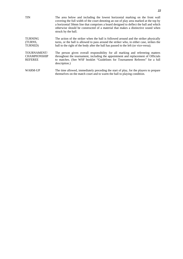| <b>TIN</b>                                           | The area below and including the lowest horizontal marking on the front wall<br>covering the full width of the court denoting an out of play area marked at the top by<br>a horizontal 50mm line that comprises a board designed to deflect the ball and which<br>otherwise should be constructed of a material that makes a distinctive sound when<br>struck by the ball. |
|------------------------------------------------------|----------------------------------------------------------------------------------------------------------------------------------------------------------------------------------------------------------------------------------------------------------------------------------------------------------------------------------------------------------------------------|
| <b>TURNING</b><br>(TURNS,<br>TURNED)                 | The action of the striker when the ball is followed around and the striker physically<br>turns, or the ball is allowed to pass around the striker who, in either case, strikes the<br>ball to the right of the body after the ball has passed to the left (or vice-versa).                                                                                                 |
| TOURNAMENT/<br><b>CHAMPIONSHIP</b><br><b>REFEREE</b> | The person given overall responsibility for all marking and refereeing matters<br>throughout the tournament, including the appointment and replacement of Officials<br>to matches. (See WSF booklet "Guidelines for Tournament Referees" for a full<br>description.)                                                                                                       |
| WARM-UP                                              | The time allowed, immediately preceding the start of play, for the players to prepare<br>themselves on the match court and to warm the ball to playing condition.                                                                                                                                                                                                          |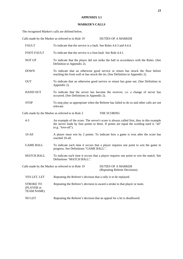## **APPENDIX 3.1**

## **MARKER'S CALLS**

The recognised Marker's calls are defined below.

|                                                     | Calls made by the Marker as referred to in Rule 19                                                                                                                 | <b>DUTIES OF A MARKER</b>                                                                                                                                                           |  |  |  |
|-----------------------------------------------------|--------------------------------------------------------------------------------------------------------------------------------------------------------------------|-------------------------------------------------------------------------------------------------------------------------------------------------------------------------------------|--|--|--|
| <b>FAULT</b>                                        | To indicate that the service is a fault. See Rules 4.4.3 and 4.4.4.                                                                                                |                                                                                                                                                                                     |  |  |  |
| FOOT-FAULT                                          | To indicate that the service is a foot-fault. See Rule 4.4.1.                                                                                                      |                                                                                                                                                                                     |  |  |  |
| <b>NOT UP</b>                                       | To indicate that the player did not strike the ball in accordance with the Rules. (See<br>Definition in Appendix 2).                                               |                                                                                                                                                                                     |  |  |  |
| <b>DOWN</b>                                         | To indicate that an otherwise good service or return has struck the floor before<br>reaching the front wall or has struck the tin. (See Definition in Appendix 2). |                                                                                                                                                                                     |  |  |  |
| <b>OUT</b>                                          | To indicate that an otherwise good service or return has gone out. (See Definition in<br>Appendix 2).                                                              |                                                                                                                                                                                     |  |  |  |
| <b>HAND OUT</b>                                     | To indicate that the server has become the receiver, i.e. a change of server has<br>occurred. (See Definitions in Appendix 2).                                     |                                                                                                                                                                                     |  |  |  |
| <b>STOP</b>                                         | relevant.                                                                                                                                                          | To stop play as appropriate when the Referee has failed to do so and other calls are not                                                                                            |  |  |  |
|                                                     | Calls made by the Marker as referred to in Rule 2                                                                                                                  | THE SCORING                                                                                                                                                                         |  |  |  |
| $4 - 3$                                             | (e.g. "love-all").                                                                                                                                                 | An example of the score. The server's score is always called first, thus in this example<br>the server leads by four points to three. If points are equal the wording used is "all" |  |  |  |
| $10-A11$                                            | reached 10-all.                                                                                                                                                    | A player must win by 2 points: To indicate how a game is won after the score has                                                                                                    |  |  |  |
| <b>GAME BALL</b>                                    | To indicate each time it occurs that a player requires one point to win the game in<br>progress. See Definitions "GAME BALL".                                      |                                                                                                                                                                                     |  |  |  |
| <b>MATCH BALL</b>                                   | Definitions "MATCH BALL".                                                                                                                                          | To indicate each time it occurs that a player requires one point to win the match. See                                                                                              |  |  |  |
|                                                     | Calls made by the Marker as referred to in Rule 19                                                                                                                 | <b>DUTIES OF A MARKER</b><br>(Repeating Referee Decisions).                                                                                                                         |  |  |  |
| YES LET, LET                                        | Repeating the Referee's decision that a rally is to be replayed.                                                                                                   |                                                                                                                                                                                     |  |  |  |
| <b>STROKE TO</b><br>(PLAYER or<br><b>TEAM NAME)</b> | Repeating the Referee's decision to award a stroke to that player or team.                                                                                         |                                                                                                                                                                                     |  |  |  |
| NO LET                                              | Repeating the Referee's decision that an appeal for a let is disallowed.                                                                                           |                                                                                                                                                                                     |  |  |  |
|                                                     |                                                                                                                                                                    |                                                                                                                                                                                     |  |  |  |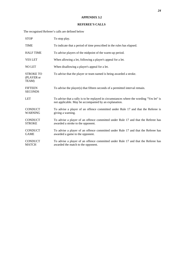#### **APPENDIX 3.2**

#### **REFEREE'S CALLS**

The recognised Referee's calls are defined below

| <b>STOP</b>                             | To stop play.                                                                                                                                     |
|-----------------------------------------|---------------------------------------------------------------------------------------------------------------------------------------------------|
| <b>TIME</b>                             | To indicate that a period of time prescribed in the rules has elapsed.                                                                            |
| <b>HALF TIME</b>                        | To advise players of the midpoint of the warm-up period.                                                                                          |
| <b>YES LET</b>                          | When allowing a let, following a player's appeal for a let.                                                                                       |
| <b>NO LET</b>                           | When disallowing a player's appeal for a let.                                                                                                     |
| <b>STROKE TO</b><br>(PLAYER or<br>TEAM) | To advise that the player or team named is being awarded a stroke.                                                                                |
| <b>FIFTEEN</b><br><b>SECONDS</b>        | To advise the player(s) that fifteen seconds of a permitted interval remain.                                                                      |
| <b>LET</b>                              | To advise that a rally is to be replayed in circumstances where the wording "Yes let" is<br>not applicable. May be accompanied by an explanation. |
| <b>CONDUCT</b><br><b>WARNING</b>        | To advise a player of an offence committed under Rule 17 and that the Referee is<br>giving a warning.                                             |
| <b>CONDUCT</b><br><b>STROKE</b>         | To advise a player of an offence committed under Rule 17 and that the Referee has<br>awarded a stroke to the opponent.                            |
| <b>CONDUCT</b><br><b>GAME</b>           | To advise a player of an offence committed under Rule 17 and that the Referee has<br>awarded a game to the opponent.                              |
| <b>CONDUCT</b><br><b>MATCH</b>          | To advise a player of an offence committed under Rule 17 and that the Referee has<br>awarded the match to the opponent.                           |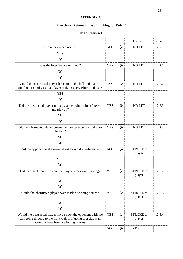## **APPENDIX 4.1**

## **Flowchart: Referee's line of thinking for Rule 12**

#### INTERFERENCE

|                                                                                                                                                                           |                |                       | Decision                   | Rule   |
|---------------------------------------------------------------------------------------------------------------------------------------------------------------------------|----------------|-----------------------|----------------------------|--------|
| Did interference occur?                                                                                                                                                   | NO             | $\blacktriangleright$ | <b>NO LET</b>              | 12.7.1 |
| <b>YES</b>                                                                                                                                                                |                |                       |                            |        |
| $\forall$                                                                                                                                                                 |                |                       |                            |        |
| Was the interference minimal?                                                                                                                                             | <b>YES</b>     | $\blacktriangleright$ | <b>NO LET</b>              | 12.7.1 |
| NO                                                                                                                                                                        |                |                       |                            |        |
| $\blacktriangleleft$                                                                                                                                                      |                |                       |                            |        |
| Could the obstructed player have got to the ball and made a<br>good return and was that player making every effort to do so?                                              | NO             | $\blacktriangleright$ | <b>NO LET</b>              | 12.7.2 |
| <b>YES</b>                                                                                                                                                                |                |                       |                            |        |
| $\blacktriangleleft$                                                                                                                                                      |                |                       |                            |        |
| Did the obstructed player move past the point of interference<br>and play on?                                                                                             | <b>YES</b>     | $\blacktriangleright$ | <b>NO LET</b>              | 12.7.3 |
| N <sub>O</sub>                                                                                                                                                            |                |                       |                            |        |
| $\blacktriangleleft$                                                                                                                                                      |                |                       |                            |        |
| Did the obstructed player create the interference in moving to<br>the ball?                                                                                               | <b>YES</b>     | ➤                     | <b>NO LET</b>              | 12.7.4 |
| NO                                                                                                                                                                        |                |                       |                            |        |
| $\blacktriangleleft$                                                                                                                                                      |                |                       |                            |        |
| Did the opponent make every effort to avoid interference?                                                                                                                 | NO             | $\blacktriangleright$ | <b>STROKE</b> to<br>player | 12.8.1 |
| <b>YES</b>                                                                                                                                                                |                |                       |                            |        |
| $\blacktriangleleft$                                                                                                                                                      |                |                       |                            |        |
| Did the interference prevent the player's reasonable swing?                                                                                                               | <b>YES</b>     | ➤                     | <b>STROKE</b> to<br>player | 12.8.2 |
| N <sub>O</sub>                                                                                                                                                            |                |                       |                            |        |
| $\blacktriangledown$                                                                                                                                                      |                |                       |                            |        |
| Could the obstructed player have made a winning return?                                                                                                                   | <b>YES</b>     | ➤                     | <b>STROKE</b> to<br>player | 12.8.3 |
| N <sub>O</sub>                                                                                                                                                            |                |                       |                            |        |
| $\blacktriangleleft$                                                                                                                                                      |                |                       |                            |        |
| Would the obstructed player have struck the opponent with the<br>ball going directly to the front wall or if going to a side wall<br>would it have been a winning return? | <b>YES</b>     | ➤                     | <b>STROKE</b> to<br>player | 12.8.4 |
|                                                                                                                                                                           | N <sub>O</sub> | $\blacktriangleright$ | <b>YES LET</b>             | 12.9   |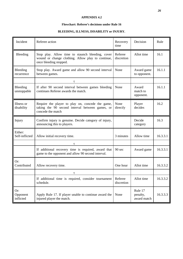#### **APPENDIX 4.2**

#### **Flowchart: Referee's decisions under Rule 16**

## **BLEEDING, ILLNESS, DISABILITY or INJURY.**

| Incident                     | Referee action                                                                                                                  | Recovery<br>time      | Decision                           | Rule     |
|------------------------------|---------------------------------------------------------------------------------------------------------------------------------|-----------------------|------------------------------------|----------|
| Bleeding                     | Stop play. Allow time to staunch bleeding, cover<br>wound or change clothing. Allow play to continue,<br>once bleeding stopped. | Referee<br>discretion | Allot time                         | 16.1     |
| Bleeding<br>recurrence       | Stop play. Award game and allow 90 second interval<br>between games.                                                            | None                  | Award game<br>to opponent.         | 16.1.1   |
|                              | τ                                                                                                                               |                       |                                    |          |
| Bleeding<br>unstoppable      | If after 90 second interval between games bleeding<br>continues Referee awards the match.                                       | None                  | Award<br>match to<br>opponent.     | 16.1.1   |
| Illness or<br>disability     | Require the player to play on, concede the game,<br>taking the 90 second interval between games, or<br>concede the match        | None<br>directly      | Player<br>decides                  | 16.2     |
| Injury                       | Confirm injury is genuine. Decide category of injury,<br>announcing this to players.                                            |                       | Decide<br>category                 | 16.3     |
| Either:<br>Self-inflicted    | Allow initial recovery time.                                                                                                    | 3 minutes             | Allow time                         | 16.3.3.1 |
|                              | τ                                                                                                                               |                       |                                    |          |
|                              | If additional recovery time is required, award that<br>game to the opponent and allow 90 second interval.                       | 90 sec                | Award game                         | 16.3.3.1 |
| Or:<br>Contributed           | Allow recovery time.                                                                                                            | One hour              | Allot time                         | 16.3.3.2 |
|                              | τ                                                                                                                               |                       |                                    |          |
|                              | If additional time is required, consider tournament<br>schedule.                                                                | Referee<br>discretion | Allot time                         | 16.3.3.2 |
| Or:<br>Opponent<br>inflicted | Apply Rule 17. If player unable to continue award the<br>injured player the match.                                              | None                  | Rule 17<br>penalty,<br>award match | 16.3.3.3 |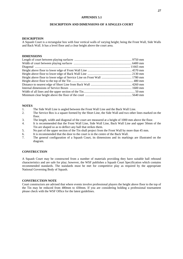#### **APPENDIX 5.1**

#### **DESCRIPTION AND DIMENSIONS OF A SINGLES COURT**

#### **DESCRIPTION**

A Squash Court is a rectangular box with four vertical walls of varying height; being the Front Wall, Side Walls and Back Wall. It has a level floor and a clear height above the court area.

#### **DIMENSIONS**

#### **NOTES**

- 1. The Side Wall Line is angled between the Front Wall Line and the Back Wall Line.
- 2. The Service Box is a square formed by the Short Line, the Side Wall and two other lines marked on the floor.
- 3. The length, width and diagonal of the court are measured at a height of 1000 mm above the floor.
- 4. It is recommended that the Front Wall Line, Side Wall Line, Back Wall Line and upper 50mm of the Tin are shaped so as to deflect any ball that strikes them.
- 5. No part of the upper section of the Tin shall project from the Front Wall by more than 45 mm.
- 6. It is recommended that the door to the court is in the centre of the Back Wall.
- 7. The general configuration of a Squash Court, its dimensions and its markings are illustrated on the diagram.

#### **CONSTRUCTION**

A Squash Court may be constructed from a number of materials providing they have suitable ball rebound characteristics and are safe for play; however, the WSF publishes a Squash Court Specification which contains recommended standards. The standards must be met for competitive play as required by the appropriate National Governing Body of Squash.

#### **CONSTRUCTION NOTE**

Court constructors are advised that where events involve professional players the height above floor to the top of the Tin may be reduced from 480mm to 430mm. If you are considering holding a professional tournament please check with the WSF Office for the latest guidelines.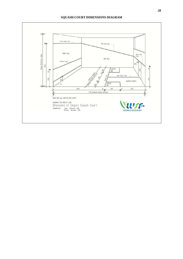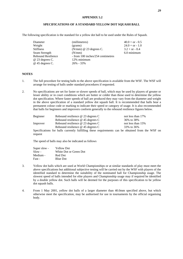#### **APPENDIX 5.2**

#### **SPECIFICATIONS OF A STANDARD YELLOW DOT SQUASH BALL**

The following specification is the standard for a yellow dot ball to be used under the Rules of Squash.

| Diameter               | (millimetres)                     | $40.0 + or - 0.5$ |
|------------------------|-----------------------------------|-------------------|
| Weight                 | (grams)                           | $24.0 + or - 1.0$ |
| <b>Stiffness</b>       | $(N/mm)$ @ 23 degrees C.          | $3.2 + or - 0.4$  |
| Seam Strength          | (N/mm)                            | 6.0 minimum       |
| Rebound Resilience     | - from 100 inches/254 centimetres |                   |
| $\omega$ 23 degrees C. | 12% minimum                       |                   |
| $@$ 45 degrees C.      | $26\% - 33\%$                     |                   |

#### **NOTES**

- 1. The full procedure for testing balls to the above specification is available from the WSF. The WSF will arrange for testing of balls under standard procedures if requested.
- 2. No specifications are set for faster or slower speeds of ball, which may be used by players of greater or lesser ability or in court conditions which are hotter or colder than those used to determine the yellow dot specification. Where faster speeds of ball are produced they may vary from the diameter and weight in the above specification of a standard yellow dot squash ball. It is recommended that balls bear a permanent colour code or marking to indicate their speed or category of usage. It is also recommended that balls for beginners and improvers conform generally to the rebound resilience figures below.

| Beginner | Rebound resilience $@$ 23 degrees C                                                              | not less than 17% |
|----------|--------------------------------------------------------------------------------------------------|-------------------|
|          | Rebound resilience $@$ 45 degrees C                                                              | 36\% to 38\%      |
| Improver | Rebound resilience $\omega$ 23 degrees C                                                         | not less than 15% |
|          | Rebound resilience $\omega$ 45 degrees C                                                         | 33% to 36%        |
|          | Specifications for balls currently fulfilling these requirements can be obtained from the WSF on |                   |
| request  |                                                                                                  |                   |

The speed of balls may also be indicated as follows

| Super slow - | <b>Yellow Dot</b>      |
|--------------|------------------------|
| Slow -       | White Dot or Green Dot |
| Medium -     | Red Dot                |
| Fast -       | <b>Blue Dot</b>        |

- 3. Yellow dot balls which are used at World Championships or at similar standards of play must meet the above specifications but additional subjective testing will be carried out by the WSF with players of the identified standard to determine the suitability of the nominated ball for Championship usage. The slowest speed of balls intended for elite players and Championship usage may if required be identified by a double yellow dot. Such balls will be deemed for the purposes of this specification to be yellow dot squash balls.
- 4. From 1 May 2001, yellow dot balls of a larger diameter than 40.0mm specified above, but which otherwise meet the specification, may be authorised for use in tournaments by the official organising body.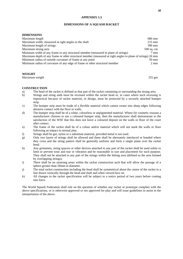#### **APPENDIX 5.3**

#### **DIMENSIONS OF A SQUASH RACKET**

#### **DIMENSIONS**

| Maximum length                                                                                             | 686 mm           |
|------------------------------------------------------------------------------------------------------------|------------------|
| Maximum width, measured at right angles to the shaft                                                       | $215 \text{ mm}$ |
| Maximum length of strings                                                                                  | $390 \text{ mm}$ |
| Maximum strung area                                                                                        | $500$ sq. cm     |
| Minimum width of any frame or any structural member (measured in plane of strings)                         | $7 \text{ mm}$   |
| Maximum depth of any frame or other structural member (measured at right angles to plane of strings) 26 mm |                  |
| Minimum radius of outside curvature of frame at any point                                                  | $50 \text{ mm}$  |
| Minimum radius of curvature of any edge of frame or other structural member                                | $2 \text{ mm}$   |
|                                                                                                            |                  |

#### **WEIGHT**

Maximum weight 255 gm

#### **CONSTRUCTION**

- a) The head of the racket is defined as that part of the racket containing or surrounding the strung area.
- b) Strings and string ends must be recessed within the racket head or, in cases where such recessing is impractical because of racket material, or design, must be protected by a securely attached bumper strip.
- c) The bumper strip must be made of a flexible material which cannot crease into sharp edges following abrasive contact with the floor or walls.
- d) The bumper strip shall be of a white, colourless or unpigmented material. Where for cosmetic reasons a manufacturer chooses to use a coloured bumper strip, then the manufacturer shall demonstrate to the satisfaction of the WSF that this does not leave a coloured deposit on the walls or floor of the court after contact.
- e) The frame of the racket shall be of a colour and/or material which will not mark the walls or floor following an impact in normal play.
- f) Strings shall be gut, nylon or a substitute material, provided metal is not used.
- g) Only two layers of strings shall be allowed and these shall be alternately interlaced or bonded where they cross and the string pattern shall be generally uniform and form a single plane over the racket head.
- h) Any grommets, string spacers or other devices attached to any part of the racket shall be used solely to limit or prevent wear and tear or vibration and be reasonable in size and placement for such purpose. They shall not be attached to any part of the strings within the hitting area (defined as the area formed by overlapping strings).
- i) There shall be no unstrung areas within the racket construction such that will allow the passage of a sphere greater than 50mm in diameter.
- j) The total racket construction including the head shall be symmetrical about the centre of the racket in a line drawn vertically through the head and shaft and when viewed face on.
- k) All changes to the racket specification will be subject to a notice period of two years before coming into force.

The World Squash Federation shall rule on the question of whether any racket or prototype complies with the above specifications, or is otherwise approved or not approved for play and will issue guidelines to assist in the interpretation of the above.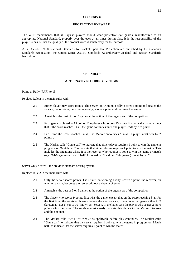#### **APPENDIX 6**

#### **PROTECTIVE EYEWEAR**

The WSF recommends that all Squash players should wear protective eye guards, manufactured to an appropriate National Standard, properly over the eyes at all times during play. It is the responsibility of the player to ensure that the quality of the product worn is satisfactory for the purpose.

As at October 2000 National Standards for Racket Sport Eye Protection are published by the Canadian Standards Association, the United States ASTM, Standards Australia/New Zealand and British Standards **Institution** 

#### **APPENDIX 7**

#### **ALTERNATIVE SCORING SYSTEMS**

#### Point–a–Rally (PAR) to 15

Replace Rule 2 in the main rules with:

- 2.1 Either player may score points. The server, on winning a rally, scores a point and retains the service; the receiver, on winning a rally, scores a point and becomes the server.
- 2.2 A match is the best of 3 or 5 games at the option of the organisers of the competition.
- 2.3 Each game is played to 15 points. The player who scores 15 points first wins the game, except that if the score reaches 14-all the game continues until one player leads by two points.
- 2.4 Each time the score reaches 14-all, the Marker announces "14-all: a player must win by 2 points".
- 2.5 The Marker calls "Game ball" to indicate that either player requires 1 point to win the game in progress, or "Match ball" to indicate that either players requires 1 point to win the match. This includes the situations where it is the receiver who requires 1 point to win the game or match (e.g. "14-6, game (or match) ball" followed by "hand out, 7-14 game (or match) ball".

Server Only Scores – the previous standard scoring system

Replace Rule 2 in the main rules with:

- 2.1 Only the server scores points. The server, on winning a rally, scores a point; the receiver, on winning a rally, becomes the server without a change of score.
- 2.2 A match is the best of 3 or 5 games at the option of the organisers of the competition.
- 2.3 The player who scores 9 points first wins the game, except that on the score reaching 8-all for the first time, the receiver chooses, before the next service, to continue that game either to 9 (known as "Set 1") or to 10 (known as "Set 2"). In the latter case the player who scores 2 more points wins the game. The receiver must clearly indicate this choice to the Marker, Referee and the opponent.
- 2.4 The Marker calls "Set 1" or "Set 2" as applicable before play continues. The Marker calls "Game ball" to indicate that the server requires 1 point to win the game in progress or "Match ball" to indicate that the server requires 1 point to win the match.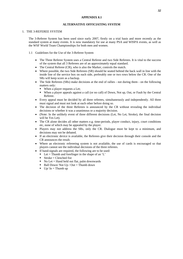#### **APPENDIX 8.1**

#### **ALTERNATIVE OFFICIATING SYSTEM**

#### 1. THE 3-REFEREE SYSTEM

The 3-Referee System has been used since early 2007, firstly on a trial basis and more recently as the standard system at many events. It is now mandatory for use at many PSA and WISPA events, as well as the WSF World Team Championships for both men and women.

- 1.1 Guidelines for the Use of the 3-Referee System
	- The Three Referee System uses a Central Referee and two Side Referees. It is vital to the success of the system that all 3 Referees are of an approximately equal standard.
	- The Central Referee (CR), who is also the Marker, controls the match.
	- Where possible, the two Side Referees (SR) should be seated behind the back wall in line with the inside line of the service box on each side, preferably one or two rows below the CR. One of the SRs will keep score as a backup.
	- The Side Referees (SRs) make decisions at the end of rallies not during them on the following matters only:
		- When a player requests a Let:
		- When a player appeals against a call (or no call) of Down, Not up, Out, or Fault by the Central Referee.
	- Every appeal must be decided by all three referees, simultaneously and independently. All three must signal and must not look at each other before doing so.
	- The decision of the three Referees is announced by the CR without revealing the individual decisions or whether it was a unanimous or a majority decision.
	- (Note: In the unlikely event of three different decisions (Let, No Let, Stroke), the final decision will be Yes Let).
	- The CR alone decides all other matters e.g. time-periods, player conduct, injury, court conditions etc, none of which may be appealed by the player.
	- Players may not address the SRs, only the CR. Dialogue must be kept to a minimum, and decisions may not be debated.
	- If an electronic device is available, the Referees give their decision through their console and the CR announces the result.
	- Where an electronic refereeing system is not available, the use of cards is encouraged so that players cannot see the individual decisions of the three referees.
	- If hand-signals are required, the following are to be used:
		- $\blacksquare$  Let = Thumb and forefinger in the shape of an 'L'
			- $\blacksquare$  Stroke = Clenched fist
		- $\blacksquare$  No Let = Hand held out flat, palm downwards
		- Ball Down/Not  $Up / Out = Thumb down$
		- $\bullet$  Up/ In = Thumb up